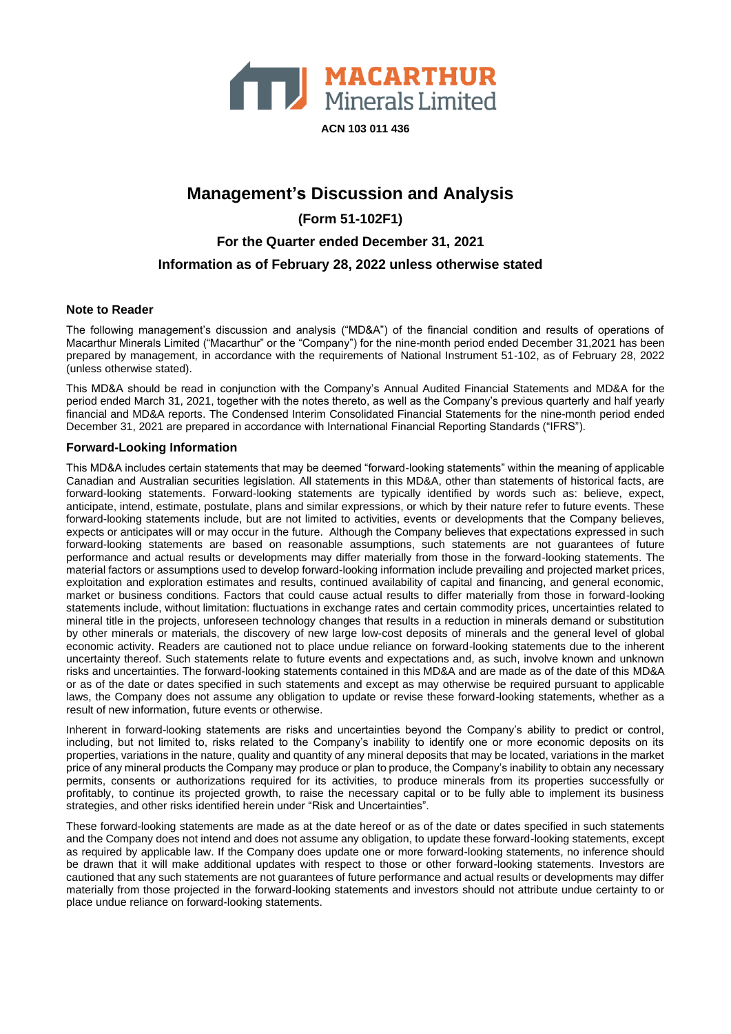

**Management's Discussion and Analysis (Form 51-102F1) For the Quarter ended December 31, 2021 Information as of February 28, 2022 unless otherwise stated**

#### **Note to Reader**

The following management's discussion and analysis ("MD&A") of the financial condition and results of operations of Macarthur Minerals Limited ("Macarthur" or the "Company") for the nine-month period ended December 31,2021 has been prepared by management, in accordance with the requirements of National Instrument 51-102, as of February 28, 2022 (unless otherwise stated).

This MD&A should be read in conjunction with the Company's Annual Audited Financial Statements and MD&A for the period ended March 31, 2021, together with the notes thereto, as well as the Company's previous quarterly and half yearly financial and MD&A reports. The Condensed Interim Consolidated Financial Statements for the nine-month period ended December 31, 2021 are prepared in accordance with International Financial Reporting Standards ("IFRS").

#### **Forward-Looking Information**

This MD&A includes certain statements that may be deemed "forward-looking statements" within the meaning of applicable Canadian and Australian securities legislation. All statements in this MD&A, other than statements of historical facts, are forward-looking statements. Forward-looking statements are typically identified by words such as: believe, expect, anticipate, intend, estimate, postulate, plans and similar expressions, or which by their nature refer to future events. These forward-looking statements include, but are not limited to activities, events or developments that the Company believes, expects or anticipates will or may occur in the future. Although the Company believes that expectations expressed in such forward-looking statements are based on reasonable assumptions, such statements are not guarantees of future performance and actual results or developments may differ materially from those in the forward-looking statements. The material factors or assumptions used to develop forward-looking information include prevailing and projected market prices, exploitation and exploration estimates and results, continued availability of capital and financing, and general economic, market or business conditions. Factors that could cause actual results to differ materially from those in forward-looking statements include, without limitation: fluctuations in exchange rates and certain commodity prices, uncertainties related to mineral title in the projects, unforeseen technology changes that results in a reduction in minerals demand or substitution by other minerals or materials, the discovery of new large low-cost deposits of minerals and the general level of global economic activity. Readers are cautioned not to place undue reliance on forward-looking statements due to the inherent uncertainty thereof. Such statements relate to future events and expectations and, as such, involve known and unknown risks and uncertainties. The forward-looking statements contained in this MD&A and are made as of the date of this MD&A or as of the date or dates specified in such statements and except as may otherwise be required pursuant to applicable laws, the Company does not assume any obligation to update or revise these forward-looking statements, whether as a result of new information, future events or otherwise.

Inherent in forward-looking statements are risks and uncertainties beyond the Company's ability to predict or control, including, but not limited to, risks related to the Company's inability to identify one or more economic deposits on its properties, variations in the nature, quality and quantity of any mineral deposits that may be located, variations in the market price of any mineral products the Company may produce or plan to produce, the Company's inability to obtain any necessary permits, consents or authorizations required for its activities, to produce minerals from its properties successfully or profitably, to continue its projected growth, to raise the necessary capital or to be fully able to implement its business strategies, and other risks identified herein under "Risk and Uncertainties".

These forward-looking statements are made as at the date hereof or as of the date or dates specified in such statements and the Company does not intend and does not assume any obligation, to update these forward-looking statements, except as required by applicable law. If the Company does update one or more forward-looking statements, no inference should be drawn that it will make additional updates with respect to those or other forward-looking statements. Investors are cautioned that any such statements are not guarantees of future performance and actual results or developments may differ materially from those projected in the forward-looking statements and investors should not attribute undue certainty to or place undue reliance on forward-looking statements.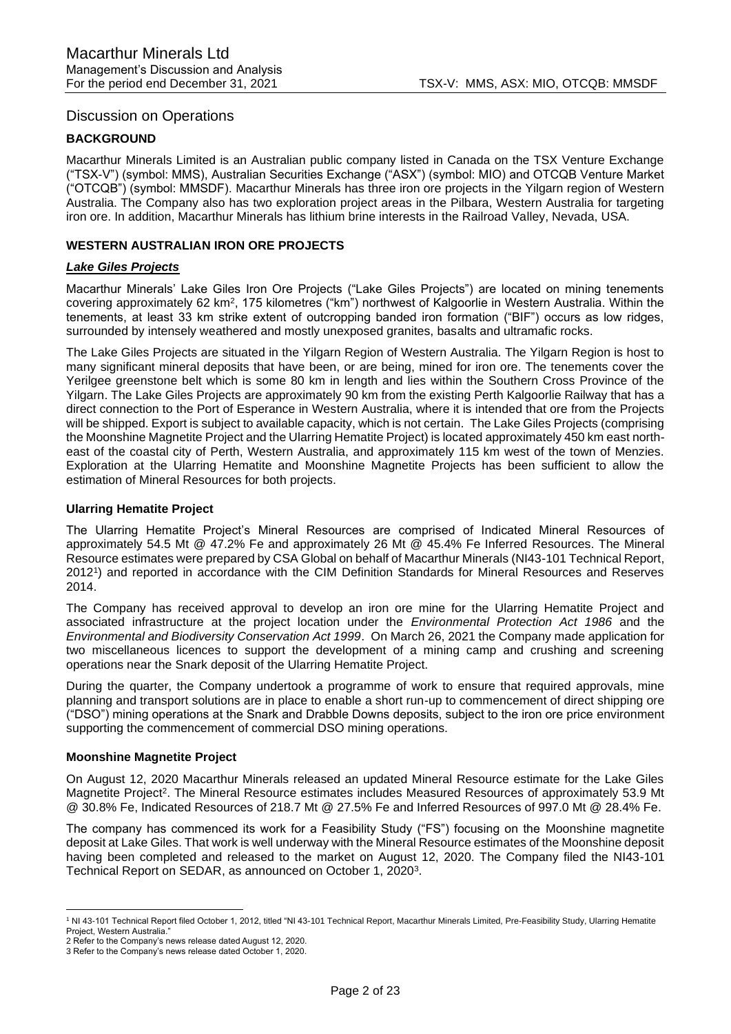## Discussion on Operations

## **BACKGROUND**

Macarthur Minerals Limited is an Australian public company listed in Canada on the TSX Venture Exchange ("TSX-V") (symbol: MMS), Australian Securities Exchange ("ASX") (symbol: MIO) and OTCQB Venture Market ("OTCQB") (symbol: MMSDF). Macarthur Minerals has three iron ore projects in the Yilgarn region of Western Australia. The Company also has two exploration project areas in the Pilbara, Western Australia for targeting iron ore. In addition, Macarthur Minerals has lithium brine interests in the Railroad Valley, Nevada, USA.

### **WESTERN AUSTRALIAN IRON ORE PROJECTS**

### *Lake Giles Projects*

Macarthur Minerals' Lake Giles Iron Ore Projects ("Lake Giles Projects") are located on mining tenements covering approximately 62 km<sup>2</sup>, 175 kilometres ("km") northwest of Kalgoorlie in Western Australia. Within the tenements, at least 33 km strike extent of outcropping banded iron formation ("BIF") occurs as low ridges, surrounded by intensely weathered and mostly unexposed granites, basalts and ultramafic rocks.

The Lake Giles Projects are situated in the Yilgarn Region of Western Australia. The Yilgarn Region is host to many significant mineral deposits that have been, or are being, mined for iron ore. The tenements cover the Yerilgee greenstone belt which is some 80 km in length and lies within the Southern Cross Province of the Yilgarn. The Lake Giles Projects are approximately 90 km from the existing Perth Kalgoorlie Railway that has a direct connection to the Port of Esperance in Western Australia, where it is intended that ore from the Projects will be shipped. Export is subject to available capacity, which is not certain. The Lake Giles Projects (comprising the Moonshine Magnetite Project and the Ularring Hematite Project) is located approximately 450 km east northeast of the coastal city of Perth, Western Australia, and approximately 115 km west of the town of Menzies. Exploration at the Ularring Hematite and Moonshine Magnetite Projects has been sufficient to allow the estimation of Mineral Resources for both projects.

#### **Ularring Hematite Project**

The Ularring Hematite Project's Mineral Resources are comprised of Indicated Mineral Resources of approximately 54.5 Mt @ 47.2% Fe and approximately 26 Mt @ 45.4% Fe Inferred Resources. The Mineral Resource estimates were prepared by CSA Global on behalf of Macarthur Minerals (NI43-101 Technical Report, 2012<sup>1</sup> ) and reported in accordance with the CIM Definition Standards for Mineral Resources and Reserves 2014.

The Company has received approval to develop an iron ore mine for the Ularring Hematite Project and associated infrastructure at the project location under the *Environmental Protection Act 1986* and the *Environmental and Biodiversity Conservation Act 1999*. On March 26, 2021 the Company made application for two miscellaneous licences to support the development of a mining camp and crushing and screening operations near the Snark deposit of the Ularring Hematite Project.

During the quarter, the Company undertook a programme of work to ensure that required approvals, mine planning and transport solutions are in place to enable a short run-up to commencement of direct shipping ore ("DSO") mining operations at the Snark and Drabble Downs deposits, subject to the iron ore price environment supporting the commencement of commercial DSO mining operations.

#### **Moonshine Magnetite Project**

On August 12, 2020 Macarthur Minerals released an updated Mineral Resource estimate for the Lake Giles Magnetite Project<sup>2</sup>. The Mineral Resource estimates includes Measured Resources of approximately 53.9 Mt @ 30.8% Fe, Indicated Resources of 218.7 Mt @ 27.5% Fe and Inferred Resources of 997.0 Mt @ 28.4% Fe.

The company has commenced its work for a Feasibility Study ("FS") focusing on the Moonshine magnetite deposit at Lake Giles. That work is well underway with the Mineral Resource estimates of the Moonshine deposit having been completed and released to the market on August 12, 2020. The Company filed the NI43-101 Technical Report on SEDAR, as announced on October 1, 2020<sup>3</sup>.

<sup>1</sup> NI 43-101 Technical Report filed October 1, 2012, titled "NI 43-101 Technical Report, Macarthur Minerals Limited, Pre-Feasibility Study, Ularring Hematite Project, Western Australia." 2 Refer to the Company's news release dated August 12, 2020.

<sup>3</sup> Refer to the Company's news release dated October 1, 2020.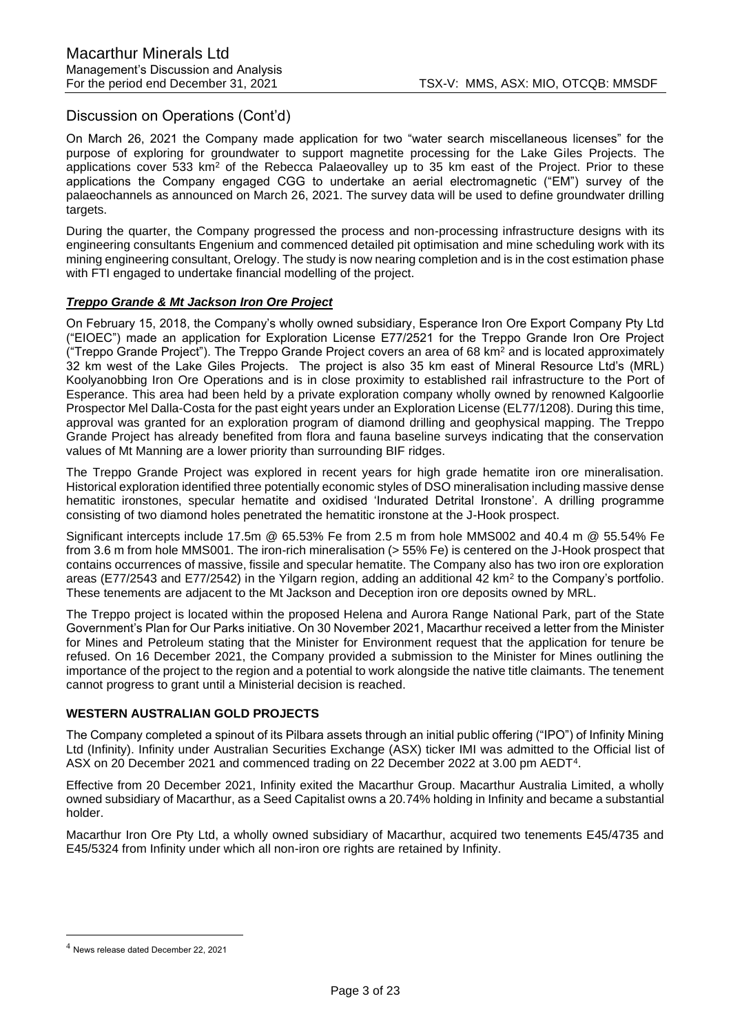## Discussion on Operations (Cont'd)

On March 26, 2021 the Company made application for two "water search miscellaneous licenses" for the purpose of exploring for groundwater to support magnetite processing for the Lake Giles Projects. The applications cover 533 km<sup>2</sup> of the Rebecca Palaeovalley up to 35 km east of the Project. Prior to these applications the Company engaged CGG to undertake an aerial electromagnetic ("EM") survey of the palaeochannels as announced on March 26, 2021. The survey data will be used to define groundwater drilling targets.

During the quarter, the Company progressed the process and non-processing infrastructure designs with its engineering consultants Engenium and commenced detailed pit optimisation and mine scheduling work with its mining engineering consultant, Orelogy. The study is now nearing completion and is in the cost estimation phase with FTI engaged to undertake financial modelling of the project.

## *Treppo Grande & Mt Jackson Iron Ore Project*

On February 15, 2018, the Company's wholly owned subsidiary, Esperance Iron Ore Export Company Pty Ltd ("EIOEC") made an application for Exploration License E77/2521 for the Treppo Grande Iron Ore Project ("Treppo Grande Project"). The Treppo Grande Project covers an area of 68 km<sup>2</sup> and is located approximately 32 km west of the Lake Giles Projects. The project is also 35 km east of Mineral Resource Ltd's (MRL) Koolyanobbing Iron Ore Operations and is in close proximity to established rail infrastructure to the Port of Esperance. This area had been held by a private exploration company wholly owned by renowned Kalgoorlie Prospector Mel Dalla-Costa for the past eight years under an Exploration License (EL77/1208). During this time, approval was granted for an exploration program of diamond drilling and geophysical mapping. The Treppo Grande Project has already benefited from flora and fauna baseline surveys indicating that the conservation values of Mt Manning are a lower priority than surrounding BIF ridges.

The Treppo Grande Project was explored in recent years for high grade hematite iron ore mineralisation. Historical exploration identified three potentially economic styles of DSO mineralisation including massive dense hematitic ironstones, specular hematite and oxidised 'Indurated Detrital Ironstone'. A drilling programme consisting of two diamond holes penetrated the hematitic ironstone at the J-Hook prospect.

Significant intercepts include 17.5m @ 65.53% Fe from 2.5 m from hole MMS002 and 40.4 m @ 55.54% Fe from 3.6 m from hole MMS001. The iron-rich mineralisation (> 55% Fe) is centered on the J-Hook prospect that contains occurrences of massive, fissile and specular hematite. The Company also has two iron ore exploration areas (E77/2543 and E77/2542) in the Yilgarn region, adding an additional 42 km<sup>2</sup> to the Company's portfolio. These tenements are adjacent to the Mt Jackson and Deception iron ore deposits owned by MRL.

The Treppo project is located within the proposed Helena and Aurora Range National Park, part of the State Government's Plan for Our Parks initiative. On 30 November 2021, Macarthur received a letter from the Minister for Mines and Petroleum stating that the Minister for Environment request that the application for tenure be refused. On 16 December 2021, the Company provided a submission to the Minister for Mines outlining the importance of the project to the region and a potential to work alongside the native title claimants. The tenement cannot progress to grant until a Ministerial decision is reached.

## **WESTERN AUSTRALIAN GOLD PROJECTS**

The Company completed a spinout of its Pilbara assets through an initial public offering ("IPO") of Infinity Mining Ltd (Infinity). Infinity under Australian Securities Exchange (ASX) ticker IMI was admitted to the Official list of ASX on 20 December 2021 and commenced trading on 22 December 2022 at 3.00 pm AEDT<sup>4</sup>.

Effective from 20 December 2021, Infinity exited the Macarthur Group. Macarthur Australia Limited, a wholly owned subsidiary of Macarthur, as a Seed Capitalist owns a 20.74% holding in Infinity and became a substantial holder.

Macarthur Iron Ore Pty Ltd, a wholly owned subsidiary of Macarthur, acquired two tenements E45/4735 and E45/5324 from Infinity under which all non-iron ore rights are retained by Infinity.

<sup>4</sup> News release dated December 22, 2021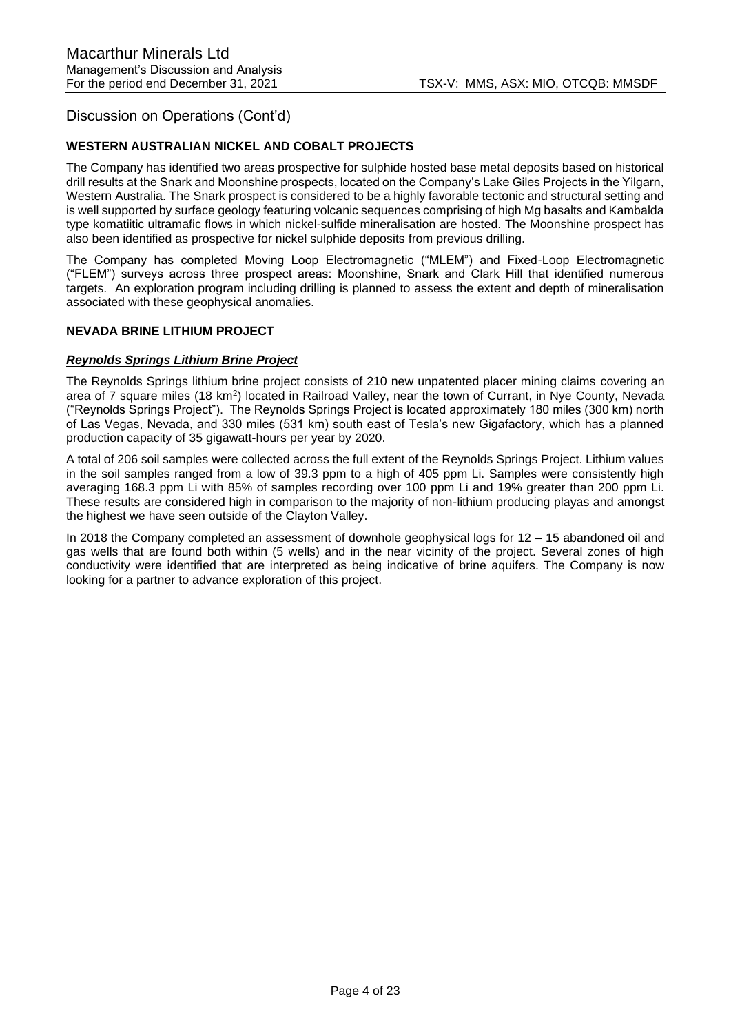## Discussion on Operations (Cont'd)

## **WESTERN AUSTRALIAN NICKEL AND COBALT PROJECTS**

The Company has identified two areas prospective for sulphide hosted base metal deposits based on historical drill results at the Snark and Moonshine prospects, located on the Company's Lake Giles Projects in the Yilgarn, Western Australia. The Snark prospect is considered to be a highly favorable tectonic and structural setting and is well supported by surface geology featuring volcanic sequences comprising of high Mg basalts and Kambalda type komatiitic ultramafic flows in which nickel-sulfide mineralisation are hosted. The Moonshine prospect has also been identified as prospective for nickel sulphide deposits from previous drilling.

The Company has completed Moving Loop Electromagnetic ("MLEM") and Fixed-Loop Electromagnetic ("FLEM") surveys across three prospect areas: Moonshine, Snark and Clark Hill that identified numerous targets. An exploration program including drilling is planned to assess the extent and depth of mineralisation associated with these geophysical anomalies.

### **NEVADA BRINE LITHIUM PROJECT**

### *Reynolds Springs Lithium Brine Project*

The Reynolds Springs lithium brine project consists of 210 new unpatented placer mining claims covering an area of 7 square miles (18 km<sup>2</sup>) located in Railroad Valley, near the town of Currant, in Nye County, Nevada ("Reynolds Springs Project"). The Reynolds Springs Project is located approximately 180 miles (300 km) north of Las Vegas, Nevada, and 330 miles (531 km) south east of Tesla's new Gigafactory, which has a planned production capacity of 35 gigawatt-hours per year by 2020.

A total of 206 soil samples were collected across the full extent of the Reynolds Springs Project. Lithium values in the soil samples ranged from a low of 39.3 ppm to a high of 405 ppm Li. Samples were consistently high averaging 168.3 ppm Li with 85% of samples recording over 100 ppm Li and 19% greater than 200 ppm Li. These results are considered high in comparison to the majority of non-lithium producing playas and amongst the highest we have seen outside of the Clayton Valley.

In 2018 the Company completed an assessment of downhole geophysical logs for 12 – 15 abandoned oil and gas wells that are found both within (5 wells) and in the near vicinity of the project. Several zones of high conductivity were identified that are interpreted as being indicative of brine aquifers. The Company is now looking for a partner to advance exploration of this project.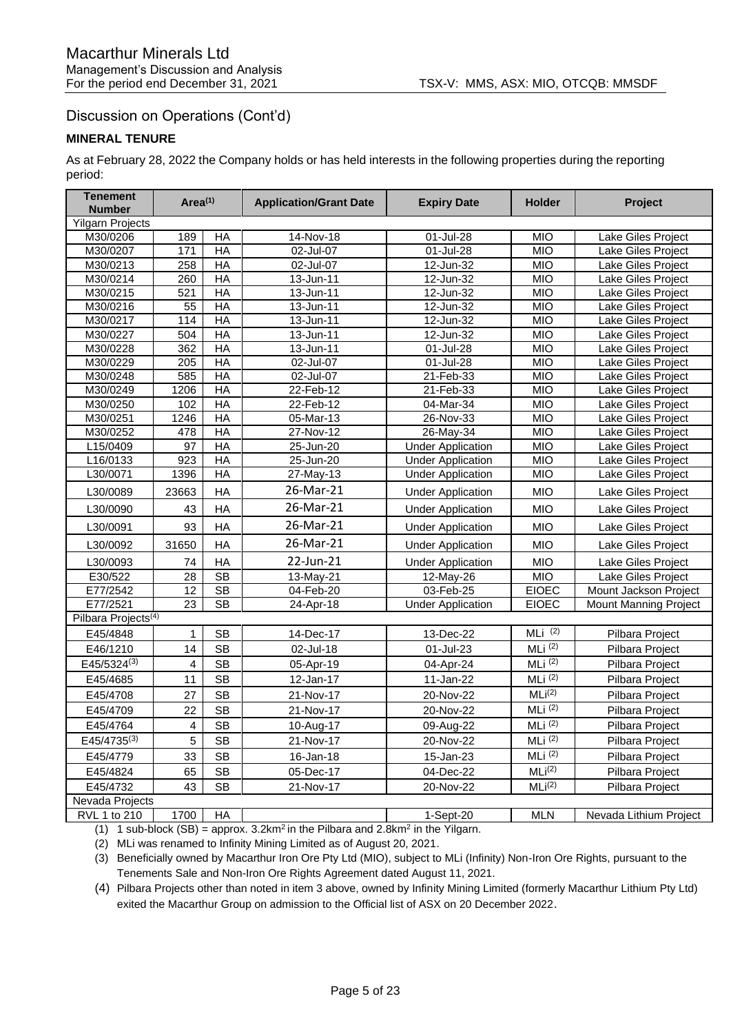# Discussion on Operations (Cont'd)

## **MINERAL TENURE**

As at February 28, 2022 the Company holds or has held interests in the following properties during the reporting period:

| <b>Tenement</b><br><b>Number</b> | Area <sup>(1)</sup> |                        | <b>Application/Grant Date</b> | <b>Expiry Date</b>       | <b>Holder</b>      | Project                      |
|----------------------------------|---------------------|------------------------|-------------------------------|--------------------------|--------------------|------------------------------|
| <b>Yilgarn Projects</b>          |                     |                        |                               |                          |                    |                              |
| M30/0206                         | 189                 | HA                     | 14-Nov-18                     | 01-Jul-28                | <b>MIO</b>         | Lake Giles Project           |
| M30/0207                         | 171                 | HA                     | 02-Jul-07                     | 01-Jul-28                | <b>MIO</b>         | Lake Giles Project           |
| M30/0213                         | 258                 | $H$ A                  | 02-Jul-07                     | $12 - Jun-32$            | MIO                | Lake Giles Project           |
| M30/0214                         | 260                 | HA                     | 13-Jun-11                     | 12-Jun-32                | MIO                | Lake Giles Project           |
| M30/0215                         | 521                 | $H$ A                  | 13-Jun-11                     | 12-Jun-32                | MIO                | Lake Giles Project           |
| M30/0216                         | 55                  | $H$ A                  | 13-Jun-11                     | 12-Jun-32                | <b>MIO</b>         | Lake Giles Project           |
| M30/0217                         | 114                 | HA                     | $13 - Jun - 11$               | 12-Jun-32                | MIO                | Lake Giles Project           |
| M30/0227                         | 504                 | <b>HA</b>              | 13-Jun-11                     | 12-Jun-32                | MIO                | Lake Giles Project           |
| M30/0228                         | 362                 | $H$ A                  | 13-Jun-11                     | 01-Jul-28                | <b>MIO</b>         | Lake Giles Project           |
| M30/0229                         | 205                 | <b>HA</b>              | 02-Jul-07                     | 01-Jul-28                | <b>MIO</b>         | Lake Giles Project           |
| M30/0248                         | 585                 | $H$ A                  | 02-Jul-07                     | 21-Feb-33                | MIO                | Lake Giles Project           |
| M30/0249                         | 1206                | <b>HA</b>              | 22-Feb-12                     | 21-Feb-33                | <b>MIO</b>         | Lake Giles Project           |
| M30/0250                         | 102                 | $H$ A                  | 22-Feb-12                     | 04-Mar-34                | MIO                | Lake Giles Project           |
| M30/0251                         | 1246                | HA                     | 05-Mar-13                     | 26-Nov-33                | <b>MIO</b>         | Lake Giles Project           |
| M30/0252                         | 478                 | <b>HA</b>              | 27-Nov-12                     | 26-May-34                | <b>MIO</b>         | Lake Giles Project           |
| L15/0409                         | 97                  | HA                     | $25 - Jun-20$                 | <b>Under Application</b> | <b>MIO</b>         | Lake Giles Project           |
| L16/0133                         | 923                 | $H$ A                  | 25-Jun-20                     | <b>Under Application</b> | MIO                | Lake Giles Project           |
| L30/0071                         | 1396                | $H$ A                  | 27-May-13                     | <b>Under Application</b> | MIO                | Lake Giles Project           |
| L30/0089                         | 23663               | HA                     | 26-Mar-21                     | <b>Under Application</b> | <b>MIO</b>         | Lake Giles Project           |
| L30/0090                         | 43                  | HA                     | 26-Mar-21                     | <b>Under Application</b> | <b>MIO</b>         | Lake Giles Project           |
| L30/0091                         | 93                  | HA                     | 26-Mar-21                     | <b>Under Application</b> | <b>MIO</b>         | Lake Giles Project           |
| L30/0092                         | 31650               | HA                     | 26-Mar-21                     | <b>Under Application</b> | <b>MIO</b>         | Lake Giles Project           |
| L30/0093                         | 74                  | HA                     | 22-Jun-21                     | <b>Under Application</b> | <b>MIO</b>         | Lake Giles Project           |
| E30/522                          | $\overline{28}$     | <b>SB</b>              | 13-May-21                     | 12-May-26                | <b>MIO</b>         | Lake Giles Project           |
| E77/2542                         | 12                  | $\overline{\text{SB}}$ | 04-Feb-20                     | 03-Feb-25                | <b>EIOEC</b>       | Mount Jackson Project        |
| E77/2521                         | 23                  | $\overline{\text{SB}}$ | 24-Apr-18                     | <b>Under Application</b> | <b>EIOEC</b>       | <b>Mount Manning Project</b> |
| Pilbara Projects <sup>(4)</sup>  |                     |                        |                               |                          |                    |                              |
| E45/4848                         | 1                   | <b>SB</b>              | 14-Dec-17                     | 13-Dec-22                | MLi $(2)$          | Pilbara Project              |
| E46/1210                         | 14                  | <b>SB</b>              | 02-Jul-18                     | 01-Jul-23                | $MLi$ (2)          | Pilbara Project              |
| E45/5324(3)                      | $\overline{4}$      | <b>SB</b>              | 05-Apr-19                     | 04-Apr-24                | $MLi^{(2)}$        | Pilbara Project              |
| E45/4685                         | 11                  | <b>SB</b>              | 12-Jan-17                     | 11-Jan-22                | MLi (2)            | Pilbara Project              |
| E45/4708                         | 27                  | <b>SB</b>              | 21-Nov-17                     | 20-Nov-22                | MLi <sup>(2)</sup> | Pilbara Project              |
| E45/4709                         | 22                  | <b>SB</b>              | 21-Nov-17                     | 20-Nov-22                | MLi (2)            | Pilbara Project              |
| E45/4764                         | 4                   | <b>SB</b>              | 10-Aug-17                     | 09-Aug-22                | MLi (2)            | Pilbara Project              |
| $E45/4735^{(3)}$                 | 5                   | <b>SB</b>              | 21-Nov-17                     | 20-Nov-22                | MLi (2)            | Pilbara Project              |
| E45/4779                         | 33                  | <b>SB</b>              | 16-Jan-18                     | 15-Jan-23                | MLi (2)            | Pilbara Project              |
| E45/4824                         | 65                  | <b>SB</b>              | 05-Dec-17                     | 04-Dec-22                | MLi <sup>(2)</sup> | Pilbara Project              |
| E45/4732                         | 43                  | <b>SB</b>              | 21-Nov-17                     | 20-Nov-22                | MLi <sup>(2)</sup> | Pilbara Project              |
| Nevada Projects                  |                     |                        |                               |                          |                    |                              |
| RVL 1 to 210                     | 1700                | $H$ A                  |                               | $1-Sept-20$              | <b>MLN</b>         | Nevada Lithium Project       |

(1) 1 sub-block (SB) = approx.  $3.2 \text{km}^2$  in the Pilbara and  $2.8 \text{km}^2$  in the Yilgarn.

(2) MLi was renamed to Infinity Mining Limited as of August 20, 2021.

(3) Beneficially owned by Macarthur Iron Ore Pty Ltd (MIO), subject to MLi (Infinity) Non-Iron Ore Rights, pursuant to the Tenements Sale and Non-Iron Ore Rights Agreement dated August 11, 2021.

(4) Pilbara Projects other than noted in item 3 above, owned by Infinity Mining Limited (formerly Macarthur Lithium Pty Ltd) exited the Macarthur Group on admission to the Official list of ASX on 20 December 2022.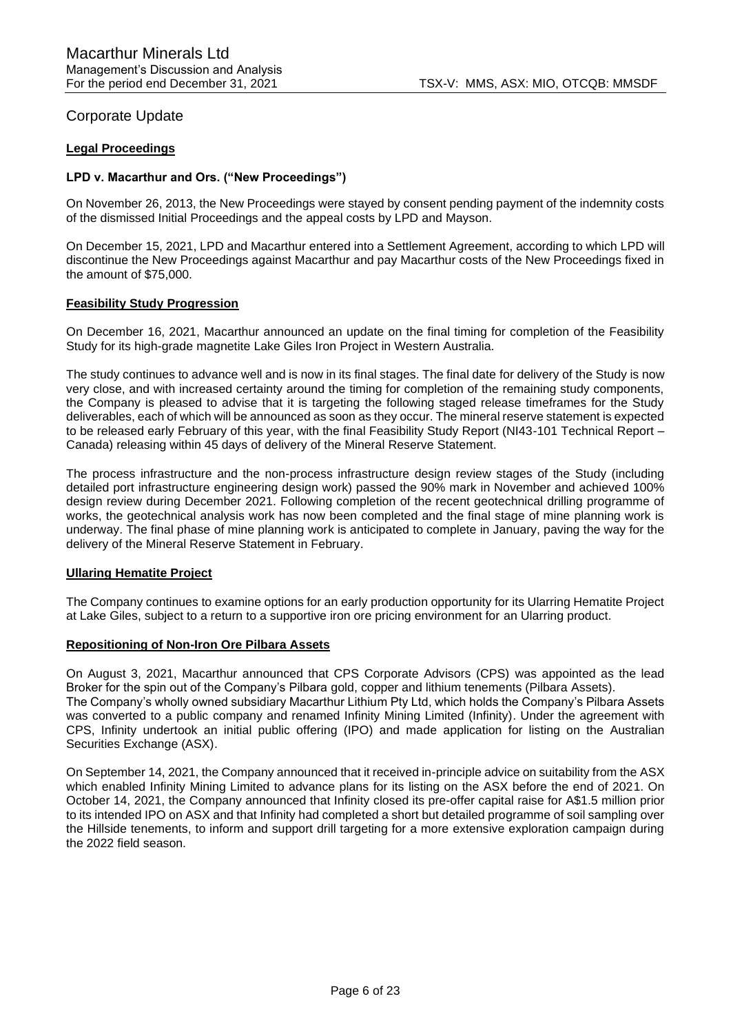## Corporate Update

## **Legal Proceedings**

## **LPD v. Macarthur and Ors. ("New Proceedings")**

On November 26, 2013, the New Proceedings were stayed by consent pending payment of the indemnity costs of the dismissed Initial Proceedings and the appeal costs by LPD and Mayson.

On December 15, 2021, LPD and Macarthur entered into a Settlement Agreement, according to which LPD will discontinue the New Proceedings against Macarthur and pay Macarthur costs of the New Proceedings fixed in the amount of \$75,000.

#### **Feasibility Study Progression**

On December 16, 2021, Macarthur announced an update on the final timing for completion of the Feasibility Study for its high-grade magnetite Lake Giles Iron Project in Western Australia.

The study continues to advance well and is now in its final stages. The final date for delivery of the Study is now very close, and with increased certainty around the timing for completion of the remaining study components, the Company is pleased to advise that it is targeting the following staged release timeframes for the Study deliverables, each of which will be announced as soon as they occur. The mineral reserve statement is expected to be released early February of this year, with the final Feasibility Study Report (NI43-101 Technical Report – Canada) releasing within 45 days of delivery of the Mineral Reserve Statement.

The process infrastructure and the non-process infrastructure design review stages of the Study (including detailed port infrastructure engineering design work) passed the 90% mark in November and achieved 100% design review during December 2021. Following completion of the recent geotechnical drilling programme of works, the geotechnical analysis work has now been completed and the final stage of mine planning work is underway. The final phase of mine planning work is anticipated to complete in January, paving the way for the delivery of the Mineral Reserve Statement in February.

#### **Ullaring Hematite Project**

The Company continues to examine options for an early production opportunity for its Ularring Hematite Project at Lake Giles, subject to a return to a supportive iron ore pricing environment for an Ularring product.

#### **Repositioning of Non-Iron Ore Pilbara Assets**

On August 3, 2021, Macarthur announced that CPS Corporate Advisors (CPS) was appointed as the lead Broker for the spin out of the Company's Pilbara gold, copper and lithium tenements (Pilbara Assets). The Company's wholly owned subsidiary Macarthur Lithium Pty Ltd, which holds the Company's Pilbara Assets was converted to a public company and renamed Infinity Mining Limited (Infinity). Under the agreement with CPS, Infinity undertook an initial public offering (IPO) and made application for listing on the Australian Securities Exchange (ASX).

On September 14, 2021, the Company announced that it received in-principle advice on suitability from the ASX which enabled Infinity Mining Limited to advance plans for its listing on the ASX before the end of 2021. On October 14, 2021, the Company announced that Infinity closed its pre-offer capital raise for A\$1.5 million prior to its intended IPO on ASX and that Infinity had completed a short but detailed programme of soil sampling over the Hillside tenements, to inform and support drill targeting for a more extensive exploration campaign during the 2022 field season.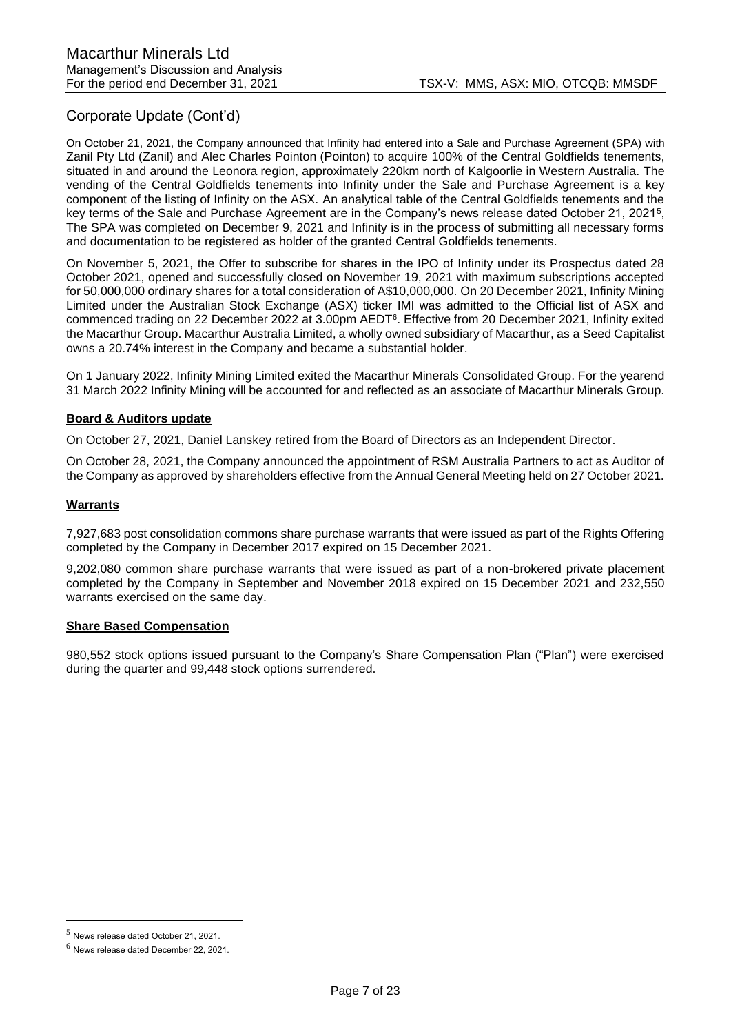# Corporate Update (Cont'd)

On October 21, 2021, the Company announced that Infinity had entered into a Sale and Purchase Agreement (SPA) with Zanil Pty Ltd (Zanil) and Alec Charles Pointon (Pointon) to acquire 100% of the Central Goldfields tenements, situated in and around the Leonora region, approximately 220km north of Kalgoorlie in Western Australia. The vending of the Central Goldfields tenements into Infinity under the Sale and Purchase Agreement is a key component of the listing of Infinity on the ASX. An analytical table of the Central Goldfields tenements and the key terms of the Sale and Purchase Agreement are in the Company's news release dated October 21, 2021<sup>5</sup> , The SPA was completed on December 9, 2021 and Infinity is in the process of submitting all necessary forms and documentation to be registered as holder of the granted Central Goldfields tenements.

On November 5, 2021, the Offer to subscribe for shares in the IPO of Infinity under its Prospectus dated 28 October 2021, opened and successfully closed on November 19, 2021 with maximum subscriptions accepted for 50,000,000 ordinary shares for a total consideration of A\$10,000,000. On 20 December 2021, Infinity Mining Limited under the Australian Stock Exchange (ASX) ticker IMI was admitted to the Official list of ASX and commenced trading on 22 December 2022 at 3.00pm AEDT<sup>6</sup>. Effective from 20 December 2021, Infinity exited the Macarthur Group. Macarthur Australia Limited, a wholly owned subsidiary of Macarthur, as a Seed Capitalist owns a 20.74% interest in the Company and became a substantial holder.

On 1 January 2022, Infinity Mining Limited exited the Macarthur Minerals Consolidated Group. For the yearend 31 March 2022 Infinity Mining will be accounted for and reflected as an associate of Macarthur Minerals Group.

## **Board & Auditors update**

On October 27, 2021, Daniel Lanskey retired from the Board of Directors as an Independent Director.

On October 28, 2021, the Company announced the appointment of RSM Australia Partners to act as Auditor of the Company as approved by shareholders effective from the Annual General Meeting held on 27 October 2021.

## **Warrants**

7,927,683 post consolidation commons share purchase warrants that were issued as part of the Rights Offering completed by the Company in December 2017 expired on 15 December 2021.

9,202,080 common share purchase warrants that were issued as part of a non-brokered private placement completed by the Company in September and November 2018 expired on 15 December 2021 and 232,550 warrants exercised on the same day.

## **Share Based Compensation**

980,552 stock options issued pursuant to the Company's Share Compensation Plan ("Plan") were exercised during the quarter and 99,448 stock options surrendered.

<sup>5</sup> News release dated October 21, 2021.

<sup>6</sup> News release dated December 22, 2021.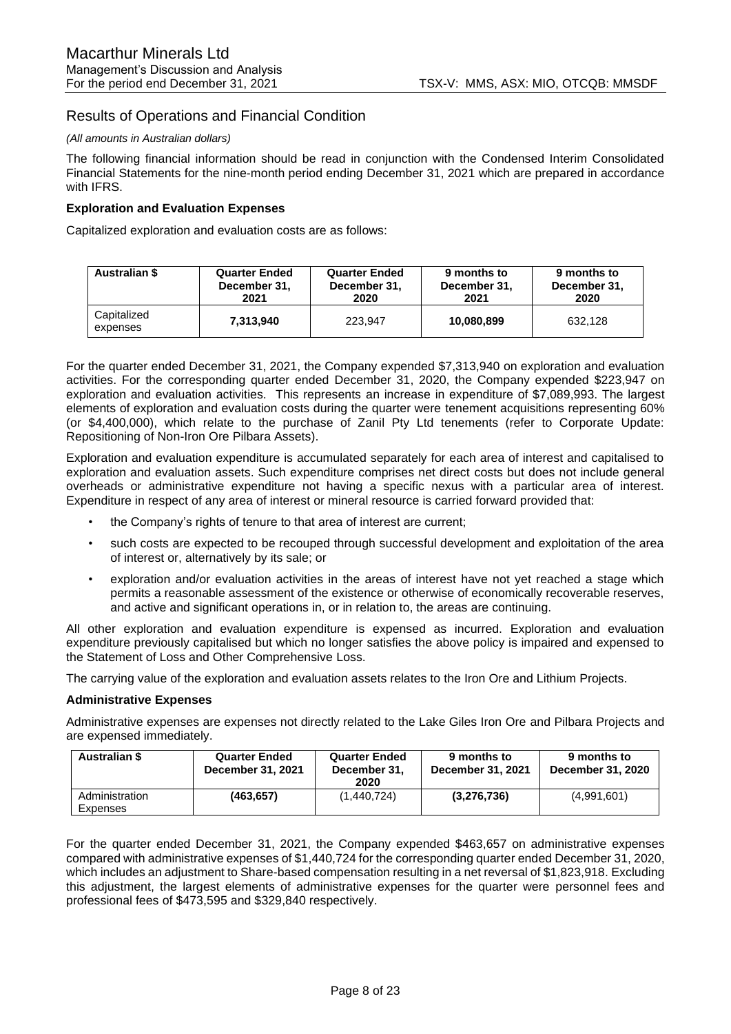## Results of Operations and Financial Condition

#### *(All amounts in Australian dollars)*

The following financial information should be read in conjunction with the Condensed Interim Consolidated Financial Statements for the nine-month period ending December 31, 2021 which are prepared in accordance with IFRS.

### **Exploration and Evaluation Expenses**

Capitalized exploration and evaluation costs are as follows:

| <b>Australian \$</b>    | <b>Quarter Ended</b> | <b>Quarter Ended</b> | 9 months to  | 9 months to  |
|-------------------------|----------------------|----------------------|--------------|--------------|
|                         | December 31,         | December 31,         | December 31, | December 31. |
|                         | 2021                 | 2020                 | 2021         | 2020         |
| Capitalized<br>expenses | 7.313.940            | 223.947              | 10.080.899   | 632.128      |

For the quarter ended December 31, 2021, the Company expended \$7,313,940 on exploration and evaluation activities. For the corresponding quarter ended December 31, 2020, the Company expended \$223,947 on exploration and evaluation activities. This represents an increase in expenditure of \$7,089,993. The largest elements of exploration and evaluation costs during the quarter were tenement acquisitions representing 60% (or \$4,400,000), which relate to the purchase of Zanil Pty Ltd tenements (refer to Corporate Update: Repositioning of Non-Iron Ore Pilbara Assets).

Exploration and evaluation expenditure is accumulated separately for each area of interest and capitalised to exploration and evaluation assets. Such expenditure comprises net direct costs but does not include general overheads or administrative expenditure not having a specific nexus with a particular area of interest. Expenditure in respect of any area of interest or mineral resource is carried forward provided that:

- the Company's rights of tenure to that area of interest are current;
- such costs are expected to be recouped through successful development and exploitation of the area of interest or, alternatively by its sale; or
- exploration and/or evaluation activities in the areas of interest have not yet reached a stage which permits a reasonable assessment of the existence or otherwise of economically recoverable reserves, and active and significant operations in, or in relation to, the areas are continuing.

All other exploration and evaluation expenditure is expensed as incurred. Exploration and evaluation expenditure previously capitalised but which no longer satisfies the above policy is impaired and expensed to the Statement of Loss and Other Comprehensive Loss.

The carrying value of the exploration and evaluation assets relates to the Iron Ore and Lithium Projects.

#### **Administrative Expenses**

Administrative expenses are expenses not directly related to the Lake Giles Iron Ore and Pilbara Projects and are expensed immediately.

| <b>Australian \$</b>       | <b>Quarter Ended</b><br><b>December 31, 2021</b> | <b>Quarter Ended</b><br>December 31,<br>2020 | 9 months to<br>December 31, 2021 | 9 months to<br>December 31, 2020 |
|----------------------------|--------------------------------------------------|----------------------------------------------|----------------------------------|----------------------------------|
| Administration<br>Expenses | (463,657)                                        | (1,440,724)                                  | (3,276,736)                      | (4,991,601)                      |

For the quarter ended December 31, 2021, the Company expended \$463,657 on administrative expenses compared with administrative expenses of \$1,440,724 for the corresponding quarter ended December 31, 2020, which includes an adjustment to Share-based compensation resulting in a net reversal of \$1,823,918. Excluding this adjustment, the largest elements of administrative expenses for the quarter were personnel fees and professional fees of \$473,595 and \$329,840 respectively.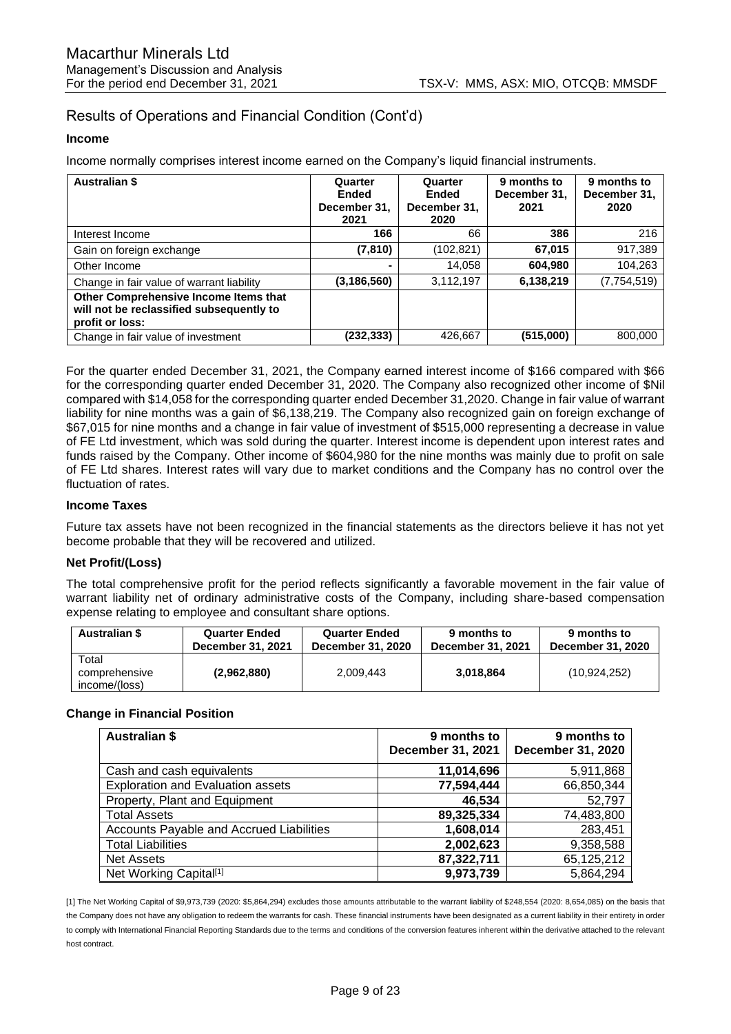# Results of Operations and Financial Condition (Cont'd)

#### **Income**

Income normally comprises interest income earned on the Company's liquid financial instruments.

| <b>Australian \$</b>                                                                                 | Quarter<br><b>Ended</b><br>December 31,<br>2021 | Quarter<br><b>Ended</b><br>December 31,<br>2020 | 9 months to<br>December 31,<br>2021 | 9 months to<br>December 31,<br>2020 |
|------------------------------------------------------------------------------------------------------|-------------------------------------------------|-------------------------------------------------|-------------------------------------|-------------------------------------|
| Interest Income                                                                                      | 166                                             | 66                                              | 386                                 | 216                                 |
| Gain on foreign exchange                                                                             | (7, 810)                                        | (102, 821)                                      | 67,015                              | 917,389                             |
| Other Income                                                                                         | $\blacksquare$                                  | 14,058                                          | 604,980                             | 104,263                             |
| Change in fair value of warrant liability                                                            | (3, 186, 560)                                   | 3,112,197                                       | 6,138,219                           | (7,754,519)                         |
| Other Comprehensive Income Items that<br>will not be reclassified subsequently to<br>profit or loss: |                                                 |                                                 |                                     |                                     |
| Change in fair value of investment                                                                   | (232, 333)                                      | 426,667                                         | (515,000)                           | 800.000                             |

For the quarter ended December 31, 2021, the Company earned interest income of \$166 compared with \$66 for the corresponding quarter ended December 31, 2020. The Company also recognized other income of \$Nil compared with \$14,058 for the corresponding quarter ended December 31,2020. Change in fair value of warrant liability for nine months was a gain of \$6,138,219. The Company also recognized gain on foreign exchange of \$67,015 for nine months and a change in fair value of investment of \$515,000 representing a decrease in value of FE Ltd investment, which was sold during the quarter. Interest income is dependent upon interest rates and funds raised by the Company. Other income of \$604,980 for the nine months was mainly due to profit on sale of FE Ltd shares. Interest rates will vary due to market conditions and the Company has no control over the fluctuation of rates.

### **Income Taxes**

Future tax assets have not been recognized in the financial statements as the directors believe it has not yet become probable that they will be recovered and utilized.

## **Net Profit/(Loss)**

The total comprehensive profit for the period reflects significantly a favorable movement in the fair value of warrant liability net of ordinary administrative costs of the Company, including share-based compensation expense relating to employee and consultant share options.

| <b>Australian \$</b>                    | <b>Quarter Ended</b>     | <b>Quarter Ended</b> | 9 months to       | 9 months to       |
|-----------------------------------------|--------------------------|----------------------|-------------------|-------------------|
|                                         | <b>December 31, 2021</b> | December 31, 2020    | December 31, 2021 | December 31, 2020 |
| Total<br>comprehensive<br>income/(loss) | (2,962,880)              | 2,009,443            | 3.018.864         | (10, 924, 252)    |

## **Change in Financial Position**

| <b>Australian \$</b>                            | 9 months to<br>December 31, 2021 | 9 months to<br>December 31, 2020 |
|-------------------------------------------------|----------------------------------|----------------------------------|
| Cash and cash equivalents                       | 11,014,696                       | 5,911,868                        |
| <b>Exploration and Evaluation assets</b>        | 77,594,444                       | 66,850,344                       |
| Property, Plant and Equipment                   | 46,534                           | 52,797                           |
| <b>Total Assets</b>                             | 89,325,334                       | 74,483,800                       |
| <b>Accounts Payable and Accrued Liabilities</b> | 1,608,014                        | 283,451                          |
| <b>Total Liabilities</b>                        | 2,002,623                        | 9,358,588                        |
| <b>Net Assets</b>                               | 87,322,711                       | 65,125,212                       |
| Net Working Capital <sup>[1]</sup>              | 9,973,739                        | 5,864,294                        |

[1] The Net Working Capital of \$9,973,739 (2020: \$5,864,294) excludes those amounts attributable to the warrant liability of \$248,554 (2020: 8,654,085) on the basis that the Company does not have any obligation to redeem the warrants for cash. These financial instruments have been designated as a current liability in their entirety in order to comply with International Financial Reporting Standards due to the terms and conditions of the conversion features inherent within the derivative attached to the relevant host contract.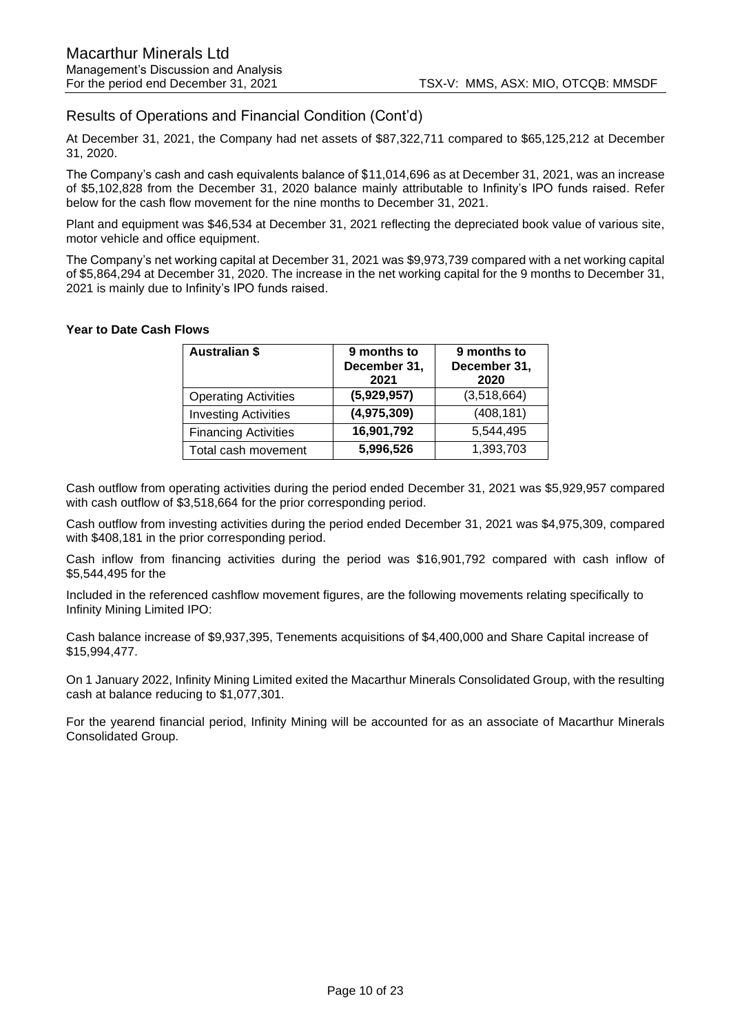## Results of Operations and Financial Condition (Cont'd)

At December 31, 2021, the Company had net assets of \$87,322,711 compared to \$65,125,212 at December 31, 2020.

The Company's cash and cash equivalents balance of \$11,014,696 as at December 31, 2021, was an increase of \$5,102,828 from the December 31, 2020 balance mainly attributable to Infinity's IPO funds raised. Refer below for the cash flow movement for the nine months to December 31, 2021.

Plant and equipment was \$46,534 at December 31, 2021 reflecting the depreciated book value of various site, motor vehicle and office equipment.

The Company's net working capital at December 31, 2021 was \$9,973,739 compared with a net working capital of \$5,864,294 at December 31, 2020. The increase in the net working capital for the 9 months to December 31, 2021 is mainly due to Infinity's IPO funds raised.

### **Year to Date Cash Flows**

| <b>Australian \$</b>        | 9 months to<br>December 31,<br>2021 | 9 months to<br>December 31,<br>2020 |
|-----------------------------|-------------------------------------|-------------------------------------|
| <b>Operating Activities</b> | (5,929,957)                         | (3,518,664)                         |
| <b>Investing Activities</b> | (4,975,309)                         | (408, 181)                          |
| <b>Financing Activities</b> | 16,901,792                          | 5,544,495                           |
| Total cash movement         | 5,996,526                           | 1,393,703                           |

Cash outflow from operating activities during the period ended December 31, 2021 was \$5,929,957 compared with cash outflow of \$3,518,664 for the prior corresponding period.

Cash outflow from investing activities during the period ended December 31, 2021 was \$4,975,309, compared with \$408,181 in the prior corresponding period.

Cash inflow from financing activities during the period was \$16,901,792 compared with cash inflow of \$5,544,495 for the

Included in the referenced cashflow movement figures, are the following movements relating specifically to Infinity Mining Limited IPO:

Cash balance increase of \$9,937,395, Tenements acquisitions of \$4,400,000 and Share Capital increase of \$15,994,477.

On 1 January 2022, Infinity Mining Limited exited the Macarthur Minerals Consolidated Group, with the resulting cash at balance reducing to \$1,077,301.

For the yearend financial period, Infinity Mining will be accounted for as an associate of Macarthur Minerals Consolidated Group.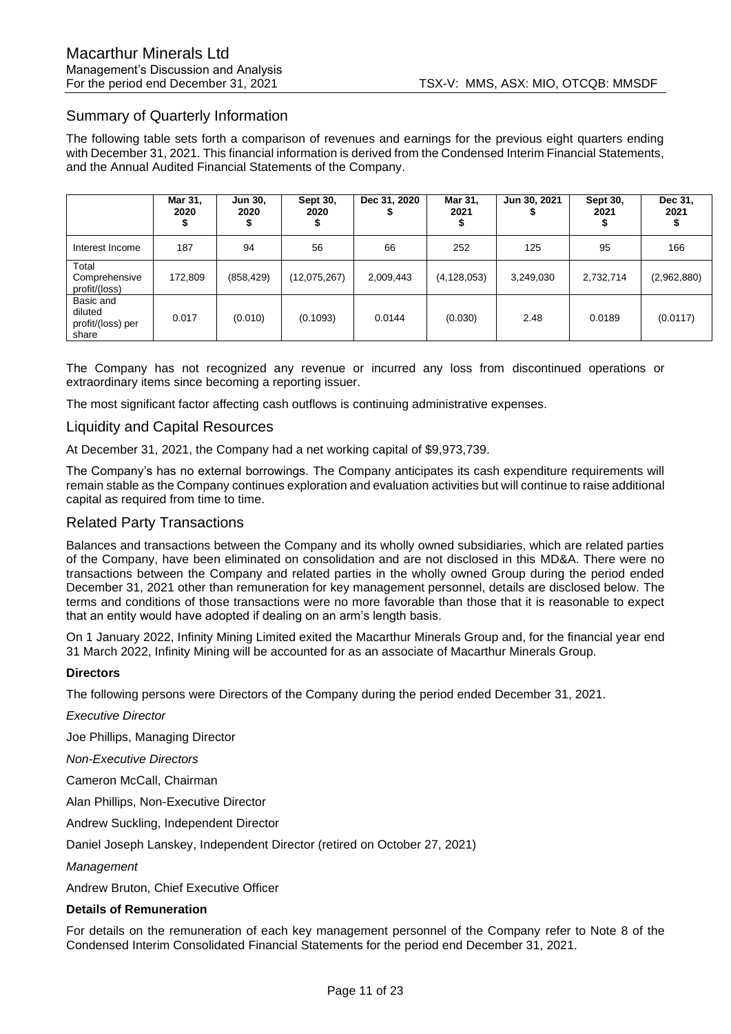## Summary of Quarterly Information

The following table sets forth a comparison of revenues and earnings for the previous eight quarters ending with December 31, 2021. This financial information is derived from the Condensed Interim Financial Statements, and the Annual Audited Financial Statements of the Company.

|                                                    | Mar 31,<br>2020 | <b>Jun 30.</b><br>2020 | Sept 30,<br>2020 | Dec 31, 2020 | Mar 31,<br>2021 | Jun 30, 2021 | Sept 30,<br>2021 | Dec 31,<br>2021 |
|----------------------------------------------------|-----------------|------------------------|------------------|--------------|-----------------|--------------|------------------|-----------------|
| Interest Income                                    | 187             | 94                     | 56               | 66           | 252             | 125          | 95               | 166             |
| Total<br>Comprehensive<br>profit/(loss)            | 172,809         | (858, 429)             | (12,075,267)     | 2,009,443    | (4, 128, 053)   | 3,249,030    | 2,732,714        | (2,962,880)     |
| Basic and<br>diluted<br>profit/(loss) per<br>share | 0.017           | (0.010)                | (0.1093)         | 0.0144       | (0.030)         | 2.48         | 0.0189           | (0.0117)        |

The Company has not recognized any revenue or incurred any loss from discontinued operations or extraordinary items since becoming a reporting issuer.

The most significant factor affecting cash outflows is continuing administrative expenses.

## Liquidity and Capital Resources

At December 31, 2021, the Company had a net working capital of \$9,973,739.

The Company's has no external borrowings. The Company anticipates its cash expenditure requirements will remain stable as the Company continues exploration and evaluation activities but will continue to raise additional capital as required from time to time.

## Related Party Transactions

Balances and transactions between the Company and its wholly owned subsidiaries, which are related parties of the Company, have been eliminated on consolidation and are not disclosed in this MD&A. There were no transactions between the Company and related parties in the wholly owned Group during the period ended December 31, 2021 other than remuneration for key management personnel, details are disclosed below. The terms and conditions of those transactions were no more favorable than those that it is reasonable to expect that an entity would have adopted if dealing on an arm's length basis.

On 1 January 2022, Infinity Mining Limited exited the Macarthur Minerals Group and, for the financial year end 31 March 2022, Infinity Mining will be accounted for as an associate of Macarthur Minerals Group.

#### **Directors**

The following persons were Directors of the Company during the period ended December 31, 2021.

*Executive Director* 

Joe Phillips, Managing Director

*Non-Executive Directors* 

Cameron McCall, Chairman

Alan Phillips, Non-Executive Director

Andrew Suckling, Independent Director

Daniel Joseph Lanskey, Independent Director (retired on October 27, 2021)

*Management*

Andrew Bruton, Chief Executive Officer

#### **Details of Remuneration**

For details on the remuneration of each key management personnel of the Company refer to Note 8 of the Condensed Interim Consolidated Financial Statements for the period end December 31, 2021.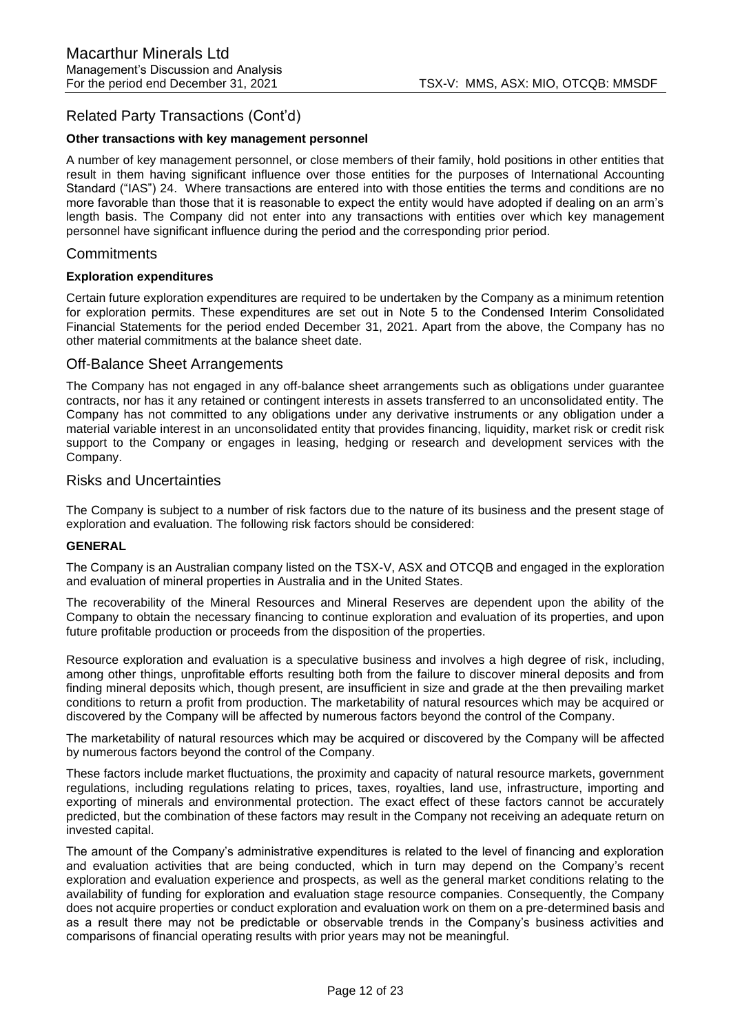## Related Party Transactions (Cont'd)

#### **Other transactions with key management personnel**

A number of key management personnel, or close members of their family, hold positions in other entities that result in them having significant influence over those entities for the purposes of International Accounting Standard ("IAS") 24. Where transactions are entered into with those entities the terms and conditions are no more favorable than those that it is reasonable to expect the entity would have adopted if dealing on an arm's length basis. The Company did not enter into any transactions with entities over which key management personnel have significant influence during the period and the corresponding prior period.

### **Commitments**

#### **Exploration expenditures**

Certain future exploration expenditures are required to be undertaken by the Company as a minimum retention for exploration permits. These expenditures are set out in Note 5 to the Condensed Interim Consolidated Financial Statements for the period ended December 31, 2021. Apart from the above, the Company has no other material commitments at the balance sheet date.

### Off-Balance Sheet Arrangements

The Company has not engaged in any off-balance sheet arrangements such as obligations under guarantee contracts, nor has it any retained or contingent interests in assets transferred to an unconsolidated entity. The Company has not committed to any obligations under any derivative instruments or any obligation under a material variable interest in an unconsolidated entity that provides financing, liquidity, market risk or credit risk support to the Company or engages in leasing, hedging or research and development services with the Company.

### Risks and Uncertainties

The Company is subject to a number of risk factors due to the nature of its business and the present stage of exploration and evaluation. The following risk factors should be considered:

#### **GENERAL**

The Company is an Australian company listed on the TSX-V, ASX and OTCQB and engaged in the exploration and evaluation of mineral properties in Australia and in the United States.

The recoverability of the Mineral Resources and Mineral Reserves are dependent upon the ability of the Company to obtain the necessary financing to continue exploration and evaluation of its properties, and upon future profitable production or proceeds from the disposition of the properties.

Resource exploration and evaluation is a speculative business and involves a high degree of risk, including, among other things, unprofitable efforts resulting both from the failure to discover mineral deposits and from finding mineral deposits which, though present, are insufficient in size and grade at the then prevailing market conditions to return a profit from production. The marketability of natural resources which may be acquired or discovered by the Company will be affected by numerous factors beyond the control of the Company.

The marketability of natural resources which may be acquired or discovered by the Company will be affected by numerous factors beyond the control of the Company.

These factors include market fluctuations, the proximity and capacity of natural resource markets, government regulations, including regulations relating to prices, taxes, royalties, land use, infrastructure, importing and exporting of minerals and environmental protection. The exact effect of these factors cannot be accurately predicted, but the combination of these factors may result in the Company not receiving an adequate return on invested capital.

The amount of the Company's administrative expenditures is related to the level of financing and exploration and evaluation activities that are being conducted, which in turn may depend on the Company's recent exploration and evaluation experience and prospects, as well as the general market conditions relating to the availability of funding for exploration and evaluation stage resource companies. Consequently, the Company does not acquire properties or conduct exploration and evaluation work on them on a pre-determined basis and as a result there may not be predictable or observable trends in the Company's business activities and comparisons of financial operating results with prior years may not be meaningful.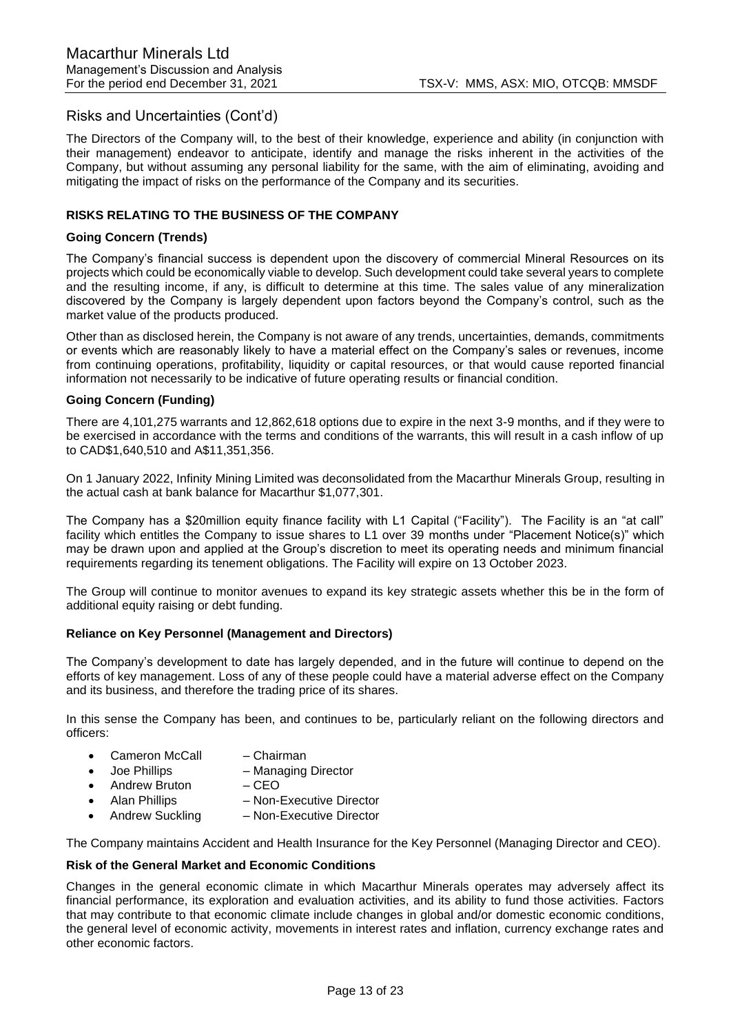The Directors of the Company will, to the best of their knowledge, experience and ability (in conjunction with their management) endeavor to anticipate, identify and manage the risks inherent in the activities of the Company, but without assuming any personal liability for the same, with the aim of eliminating, avoiding and mitigating the impact of risks on the performance of the Company and its securities.

## **RISKS RELATING TO THE BUSINESS OF THE COMPANY**

#### **Going Concern (Trends)**

The Company's financial success is dependent upon the discovery of commercial Mineral Resources on its projects which could be economically viable to develop. Such development could take several years to complete and the resulting income, if any, is difficult to determine at this time. The sales value of any mineralization discovered by the Company is largely dependent upon factors beyond the Company's control, such as the market value of the products produced.

Other than as disclosed herein, the Company is not aware of any trends, uncertainties, demands, commitments or events which are reasonably likely to have a material effect on the Company's sales or revenues, income from continuing operations, profitability, liquidity or capital resources, or that would cause reported financial information not necessarily to be indicative of future operating results or financial condition.

#### **Going Concern (Funding)**

There are 4,101,275 warrants and 12,862,618 options due to expire in the next 3-9 months, and if they were to be exercised in accordance with the terms and conditions of the warrants, this will result in a cash inflow of up to CAD\$1,640,510 and A\$11,351,356.

On 1 January 2022, Infinity Mining Limited was deconsolidated from the Macarthur Minerals Group, resulting in the actual cash at bank balance for Macarthur \$1,077,301.

The Company has a \$20million equity finance facility with L1 Capital ("Facility"). The Facility is an "at call" facility which entitles the Company to issue shares to L1 over 39 months under "Placement Notice(s)" which may be drawn upon and applied at the Group's discretion to meet its operating needs and minimum financial requirements regarding its tenement obligations. The Facility will expire on 13 October 2023.

The Group will continue to monitor avenues to expand its key strategic assets whether this be in the form of additional equity raising or debt funding.

#### **Reliance on Key Personnel (Management and Directors)**

The Company's development to date has largely depended, and in the future will continue to depend on the efforts of key management. Loss of any of these people could have a material adverse effect on the Company and its business, and therefore the trading price of its shares.

In this sense the Company has been, and continues to be, particularly reliant on the following directors and officers:

- Cameron McCall Chairman
- Joe Phillips Managing Director
- Andrew Bruton CEO
- Alan Phillips Non-Executive Director
- Andrew Suckling Non-Executive Director

The Company maintains Accident and Health Insurance for the Key Personnel (Managing Director and CEO).

#### **Risk of the General Market and Economic Conditions**

Changes in the general economic climate in which Macarthur Minerals operates may adversely affect its financial performance, its exploration and evaluation activities, and its ability to fund those activities. Factors that may contribute to that economic climate include changes in global and/or domestic economic conditions, the general level of economic activity, movements in interest rates and inflation, currency exchange rates and other economic factors.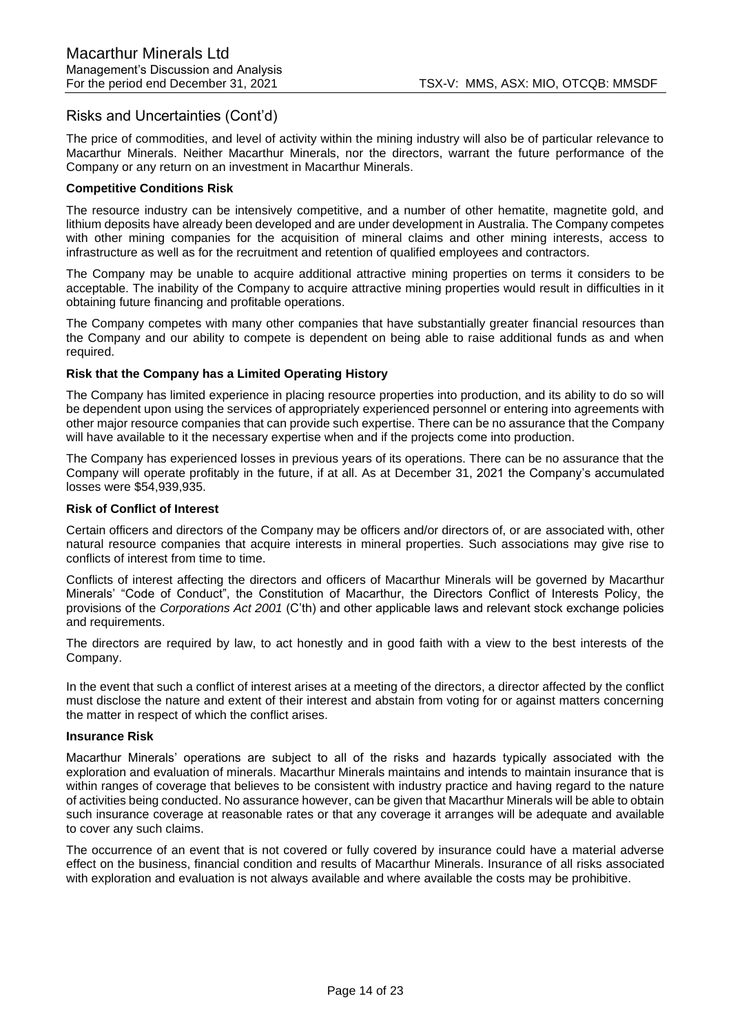The price of commodities, and level of activity within the mining industry will also be of particular relevance to Macarthur Minerals. Neither Macarthur Minerals, nor the directors, warrant the future performance of the Company or any return on an investment in Macarthur Minerals.

## **Competitive Conditions Risk**

The resource industry can be intensively competitive, and a number of other hematite, magnetite gold, and lithium deposits have already been developed and are under development in Australia. The Company competes with other mining companies for the acquisition of mineral claims and other mining interests, access to infrastructure as well as for the recruitment and retention of qualified employees and contractors.

The Company may be unable to acquire additional attractive mining properties on terms it considers to be acceptable. The inability of the Company to acquire attractive mining properties would result in difficulties in it obtaining future financing and profitable operations.

The Company competes with many other companies that have substantially greater financial resources than the Company and our ability to compete is dependent on being able to raise additional funds as and when required.

## **Risk that the Company has a Limited Operating History**

The Company has limited experience in placing resource properties into production, and its ability to do so will be dependent upon using the services of appropriately experienced personnel or entering into agreements with other major resource companies that can provide such expertise. There can be no assurance that the Company will have available to it the necessary expertise when and if the projects come into production.

The Company has experienced losses in previous years of its operations. There can be no assurance that the Company will operate profitably in the future, if at all. As at December 31, 2021 the Company's accumulated losses were \$54,939,935.

#### **Risk of Conflict of Interest**

Certain officers and directors of the Company may be officers and/or directors of, or are associated with, other natural resource companies that acquire interests in mineral properties. Such associations may give rise to conflicts of interest from time to time.

Conflicts of interest affecting the directors and officers of Macarthur Minerals will be governed by Macarthur Minerals' "Code of Conduct", the Constitution of Macarthur, the Directors Conflict of Interests Policy, the provisions of the *Corporations Act 2001* (C'th) and other applicable laws and relevant stock exchange policies and requirements.

The directors are required by law, to act honestly and in good faith with a view to the best interests of the Company.

In the event that such a conflict of interest arises at a meeting of the directors, a director affected by the conflict must disclose the nature and extent of their interest and abstain from voting for or against matters concerning the matter in respect of which the conflict arises.

### **Insurance Risk**

Macarthur Minerals' operations are subject to all of the risks and hazards typically associated with the exploration and evaluation of minerals. Macarthur Minerals maintains and intends to maintain insurance that is within ranges of coverage that believes to be consistent with industry practice and having regard to the nature of activities being conducted. No assurance however, can be given that Macarthur Minerals will be able to obtain such insurance coverage at reasonable rates or that any coverage it arranges will be adequate and available to cover any such claims.

The occurrence of an event that is not covered or fully covered by insurance could have a material adverse effect on the business, financial condition and results of Macarthur Minerals. Insurance of all risks associated with exploration and evaluation is not always available and where available the costs may be prohibitive.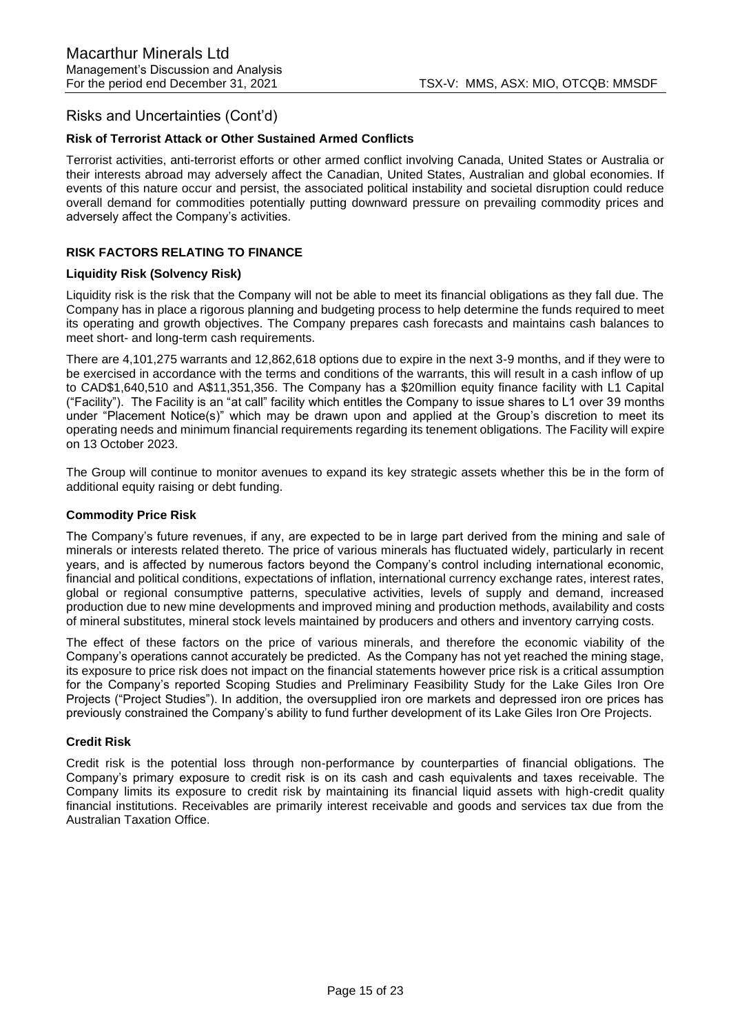## **Risk of Terrorist Attack or Other Sustained Armed Conflicts**

Terrorist activities, anti-terrorist efforts or other armed conflict involving Canada, United States or Australia or their interests abroad may adversely affect the Canadian, United States, Australian and global economies. If events of this nature occur and persist, the associated political instability and societal disruption could reduce overall demand for commodities potentially putting downward pressure on prevailing commodity prices and adversely affect the Company's activities.

## **RISK FACTORS RELATING TO FINANCE**

#### **Liquidity Risk (Solvency Risk)**

Liquidity risk is the risk that the Company will not be able to meet its financial obligations as they fall due. The Company has in place a rigorous planning and budgeting process to help determine the funds required to meet its operating and growth objectives. The Company prepares cash forecasts and maintains cash balances to meet short- and long-term cash requirements.

There are 4,101,275 warrants and 12,862,618 options due to expire in the next 3-9 months, and if they were to be exercised in accordance with the terms and conditions of the warrants, this will result in a cash inflow of up to CAD\$1,640,510 and A\$11,351,356. The Company has a \$20million equity finance facility with L1 Capital ("Facility"). The Facility is an "at call" facility which entitles the Company to issue shares to L1 over 39 months under "Placement Notice(s)" which may be drawn upon and applied at the Group's discretion to meet its operating needs and minimum financial requirements regarding its tenement obligations. The Facility will expire on 13 October 2023.

The Group will continue to monitor avenues to expand its key strategic assets whether this be in the form of additional equity raising or debt funding.

#### **Commodity Price Risk**

The Company's future revenues, if any, are expected to be in large part derived from the mining and sale of minerals or interests related thereto. The price of various minerals has fluctuated widely, particularly in recent years, and is affected by numerous factors beyond the Company's control including international economic, financial and political conditions, expectations of inflation, international currency exchange rates, interest rates, global or regional consumptive patterns, speculative activities, levels of supply and demand, increased production due to new mine developments and improved mining and production methods, availability and costs of mineral substitutes, mineral stock levels maintained by producers and others and inventory carrying costs.

The effect of these factors on the price of various minerals, and therefore the economic viability of the Company's operations cannot accurately be predicted. As the Company has not yet reached the mining stage, its exposure to price risk does not impact on the financial statements however price risk is a critical assumption for the Company's reported Scoping Studies and Preliminary Feasibility Study for the Lake Giles Iron Ore Projects ("Project Studies"). In addition, the oversupplied iron ore markets and depressed iron ore prices has previously constrained the Company's ability to fund further development of its Lake Giles Iron Ore Projects.

#### **Credit Risk**

Credit risk is the potential loss through non-performance by counterparties of financial obligations. The Company's primary exposure to credit risk is on its cash and cash equivalents and taxes receivable. The Company limits its exposure to credit risk by maintaining its financial liquid assets with high-credit quality financial institutions. Receivables are primarily interest receivable and goods and services tax due from the Australian Taxation Office.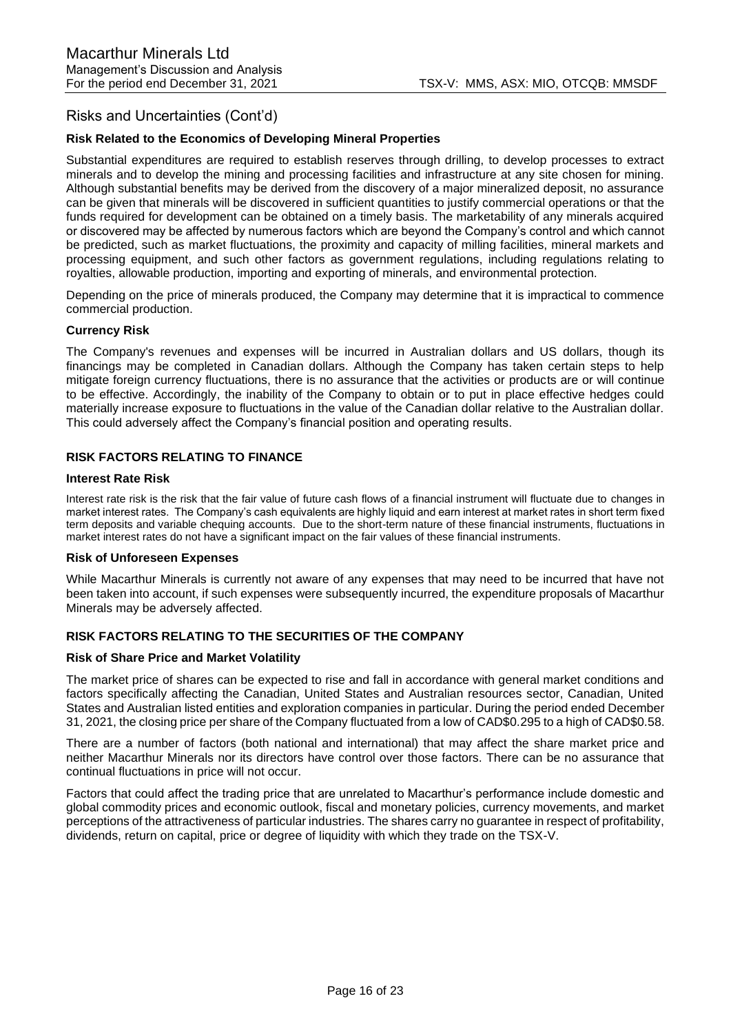## **Risk Related to the Economics of Developing Mineral Properties**

Substantial expenditures are required to establish reserves through drilling, to develop processes to extract minerals and to develop the mining and processing facilities and infrastructure at any site chosen for mining. Although substantial benefits may be derived from the discovery of a major mineralized deposit, no assurance can be given that minerals will be discovered in sufficient quantities to justify commercial operations or that the funds required for development can be obtained on a timely basis. The marketability of any minerals acquired or discovered may be affected by numerous factors which are beyond the Company's control and which cannot be predicted, such as market fluctuations, the proximity and capacity of milling facilities, mineral markets and processing equipment, and such other factors as government regulations, including regulations relating to royalties, allowable production, importing and exporting of minerals, and environmental protection.

Depending on the price of minerals produced, the Company may determine that it is impractical to commence commercial production.

### **Currency Risk**

The Company's revenues and expenses will be incurred in Australian dollars and US dollars, though its financings may be completed in Canadian dollars. Although the Company has taken certain steps to help mitigate foreign currency fluctuations, there is no assurance that the activities or products are or will continue to be effective. Accordingly, the inability of the Company to obtain or to put in place effective hedges could materially increase exposure to fluctuations in the value of the Canadian dollar relative to the Australian dollar. This could adversely affect the Company's financial position and operating results.

## **RISK FACTORS RELATING TO FINANCE**

#### **Interest Rate Risk**

Interest rate risk is the risk that the fair value of future cash flows of a financial instrument will fluctuate due to changes in market interest rates. The Company's cash equivalents are highly liquid and earn interest at market rates in short term fixed term deposits and variable chequing accounts. Due to the short-term nature of these financial instruments, fluctuations in market interest rates do not have a significant impact on the fair values of these financial instruments.

#### **Risk of Unforeseen Expenses**

While Macarthur Minerals is currently not aware of any expenses that may need to be incurred that have not been taken into account, if such expenses were subsequently incurred, the expenditure proposals of Macarthur Minerals may be adversely affected.

## **RISK FACTORS RELATING TO THE SECURITIES OF THE COMPANY**

#### **Risk of Share Price and Market Volatility**

The market price of shares can be expected to rise and fall in accordance with general market conditions and factors specifically affecting the Canadian, United States and Australian resources sector, Canadian, United States and Australian listed entities and exploration companies in particular. During the period ended December 31, 2021, the closing price per share of the Company fluctuated from a low of CAD\$0.295 to a high of CAD\$0.58.

There are a number of factors (both national and international) that may affect the share market price and neither Macarthur Minerals nor its directors have control over those factors. There can be no assurance that continual fluctuations in price will not occur.

Factors that could affect the trading price that are unrelated to Macarthur's performance include domestic and global commodity prices and economic outlook, fiscal and monetary policies, currency movements, and market perceptions of the attractiveness of particular industries. The shares carry no guarantee in respect of profitability, dividends, return on capital, price or degree of liquidity with which they trade on the TSX-V.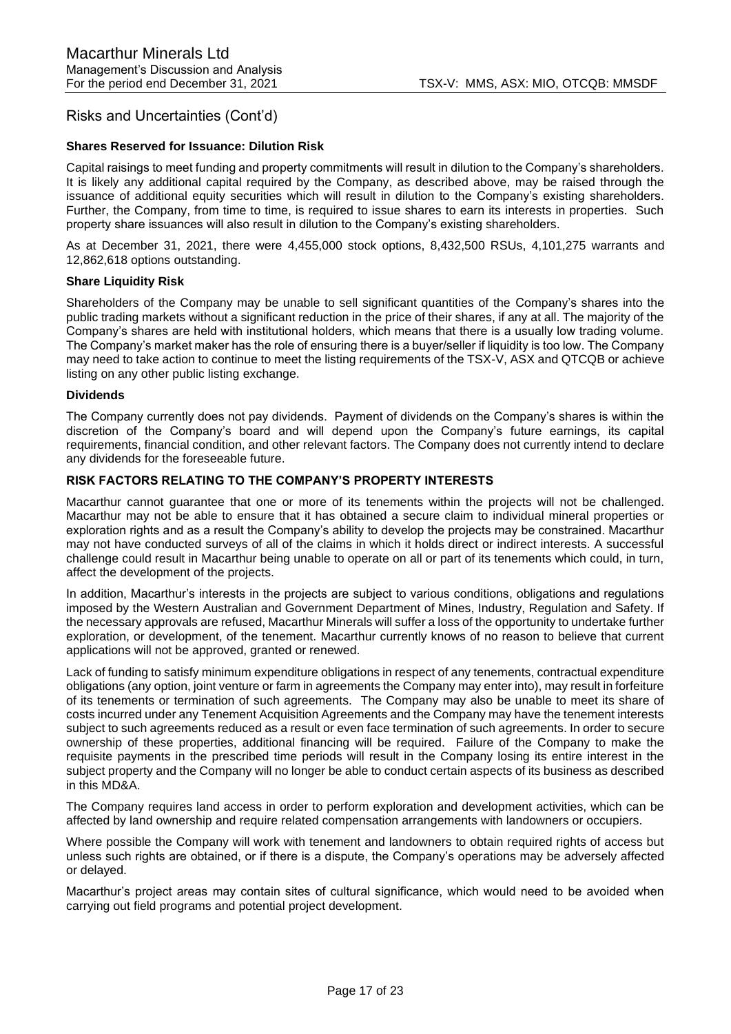#### **Shares Reserved for Issuance: Dilution Risk**

Capital raisings to meet funding and property commitments will result in dilution to the Company's shareholders. It is likely any additional capital required by the Company, as described above, may be raised through the issuance of additional equity securities which will result in dilution to the Company's existing shareholders. Further, the Company, from time to time, is required to issue shares to earn its interests in properties. Such property share issuances will also result in dilution to the Company's existing shareholders.

As at December 31, 2021, there were 4,455,000 stock options, 8,432,500 RSUs, 4,101,275 warrants and 12,862,618 options outstanding.

#### **Share Liquidity Risk**

Shareholders of the Company may be unable to sell significant quantities of the Company's shares into the public trading markets without a significant reduction in the price of their shares, if any at all. The majority of the Company's shares are held with institutional holders, which means that there is a usually low trading volume. The Company's market maker has the role of ensuring there is a buyer/seller if liquidity is too low. The Company may need to take action to continue to meet the listing requirements of the TSX-V, ASX and QTCQB or achieve listing on any other public listing exchange.

### **Dividends**

The Company currently does not pay dividends. Payment of dividends on the Company's shares is within the discretion of the Company's board and will depend upon the Company's future earnings, its capital requirements, financial condition, and other relevant factors. The Company does not currently intend to declare any dividends for the foreseeable future.

## **RISK FACTORS RELATING TO THE COMPANY'S PROPERTY INTERESTS**

Macarthur cannot guarantee that one or more of its tenements within the projects will not be challenged. Macarthur may not be able to ensure that it has obtained a secure claim to individual mineral properties or exploration rights and as a result the Company's ability to develop the projects may be constrained. Macarthur may not have conducted surveys of all of the claims in which it holds direct or indirect interests. A successful challenge could result in Macarthur being unable to operate on all or part of its tenements which could, in turn, affect the development of the projects.

In addition, Macarthur's interests in the projects are subject to various conditions, obligations and regulations imposed by the Western Australian and Government Department of Mines, Industry, Regulation and Safety. If the necessary approvals are refused, Macarthur Minerals will suffer a loss of the opportunity to undertake further exploration, or development, of the tenement. Macarthur currently knows of no reason to believe that current applications will not be approved, granted or renewed.

Lack of funding to satisfy minimum expenditure obligations in respect of any tenements, contractual expenditure obligations (any option, joint venture or farm in agreements the Company may enter into), may result in forfeiture of its tenements or termination of such agreements. The Company may also be unable to meet its share of costs incurred under any Tenement Acquisition Agreements and the Company may have the tenement interests subject to such agreements reduced as a result or even face termination of such agreements. In order to secure ownership of these properties, additional financing will be required. Failure of the Company to make the requisite payments in the prescribed time periods will result in the Company losing its entire interest in the subject property and the Company will no longer be able to conduct certain aspects of its business as described in this MD&A.

The Company requires land access in order to perform exploration and development activities, which can be affected by land ownership and require related compensation arrangements with landowners or occupiers.

Where possible the Company will work with tenement and landowners to obtain required rights of access but unless such rights are obtained, or if there is a dispute, the Company's operations may be adversely affected or delayed.

Macarthur's project areas may contain sites of cultural significance, which would need to be avoided when carrying out field programs and potential project development.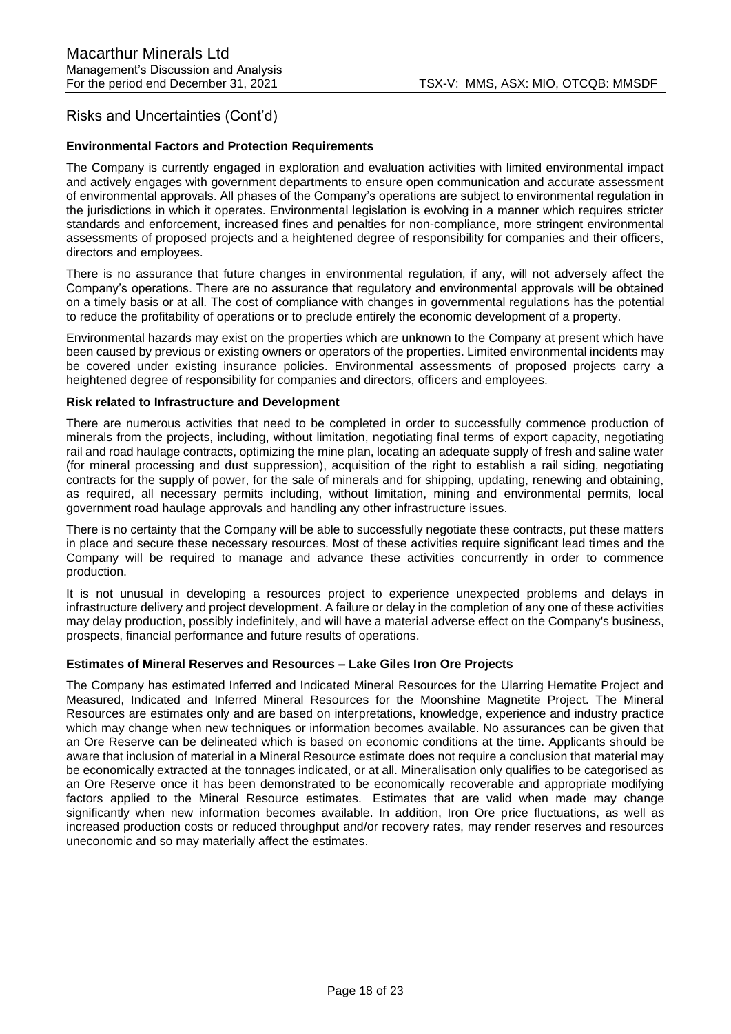### **Environmental Factors and Protection Requirements**

The Company is currently engaged in exploration and evaluation activities with limited environmental impact and actively engages with government departments to ensure open communication and accurate assessment of environmental approvals. All phases of the Company's operations are subject to environmental regulation in the jurisdictions in which it operates. Environmental legislation is evolving in a manner which requires stricter standards and enforcement, increased fines and penalties for non-compliance, more stringent environmental assessments of proposed projects and a heightened degree of responsibility for companies and their officers, directors and employees.

There is no assurance that future changes in environmental regulation, if any, will not adversely affect the Company's operations. There are no assurance that regulatory and environmental approvals will be obtained on a timely basis or at all. The cost of compliance with changes in governmental regulations has the potential to reduce the profitability of operations or to preclude entirely the economic development of a property.

Environmental hazards may exist on the properties which are unknown to the Company at present which have been caused by previous or existing owners or operators of the properties. Limited environmental incidents may be covered under existing insurance policies. Environmental assessments of proposed projects carry a heightened degree of responsibility for companies and directors, officers and employees.

#### **Risk related to Infrastructure and Development**

There are numerous activities that need to be completed in order to successfully commence production of minerals from the projects, including, without limitation, negotiating final terms of export capacity, negotiating rail and road haulage contracts, optimizing the mine plan, locating an adequate supply of fresh and saline water (for mineral processing and dust suppression), acquisition of the right to establish a rail siding, negotiating contracts for the supply of power, for the sale of minerals and for shipping, updating, renewing and obtaining, as required, all necessary permits including, without limitation, mining and environmental permits, local government road haulage approvals and handling any other infrastructure issues.

There is no certainty that the Company will be able to successfully negotiate these contracts, put these matters in place and secure these necessary resources. Most of these activities require significant lead times and the Company will be required to manage and advance these activities concurrently in order to commence production.

It is not unusual in developing a resources project to experience unexpected problems and delays in infrastructure delivery and project development. A failure or delay in the completion of any one of these activities may delay production, possibly indefinitely, and will have a material adverse effect on the Company's business, prospects, financial performance and future results of operations.

#### **Estimates of Mineral Reserves and Resources – Lake Giles Iron Ore Projects**

The Company has estimated Inferred and Indicated Mineral Resources for the Ularring Hematite Project and Measured, Indicated and Inferred Mineral Resources for the Moonshine Magnetite Project. The Mineral Resources are estimates only and are based on interpretations, knowledge, experience and industry practice which may change when new techniques or information becomes available. No assurances can be given that an Ore Reserve can be delineated which is based on economic conditions at the time. Applicants should be aware that inclusion of material in a Mineral Resource estimate does not require a conclusion that material may be economically extracted at the tonnages indicated, or at all. Mineralisation only qualifies to be categorised as an Ore Reserve once it has been demonstrated to be economically recoverable and appropriate modifying factors applied to the Mineral Resource estimates. Estimates that are valid when made may change significantly when new information becomes available. In addition, Iron Ore price fluctuations, as well as increased production costs or reduced throughput and/or recovery rates, may render reserves and resources uneconomic and so may materially affect the estimates.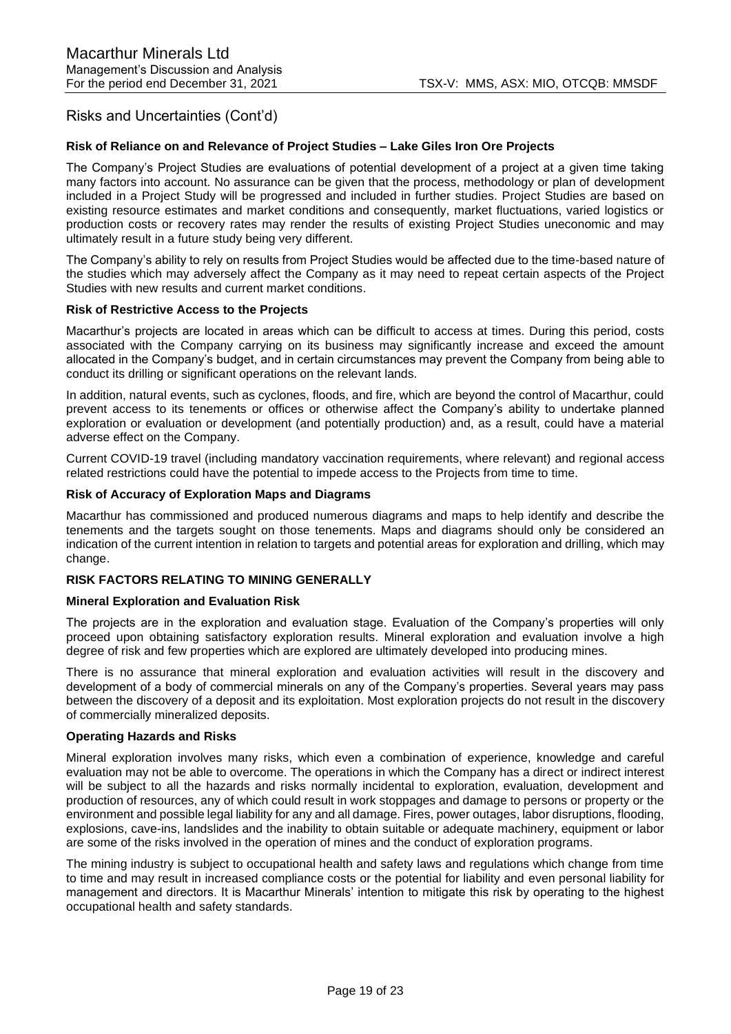### **Risk of Reliance on and Relevance of Project Studies – Lake Giles Iron Ore Projects**

The Company's Project Studies are evaluations of potential development of a project at a given time taking many factors into account. No assurance can be given that the process, methodology or plan of development included in a Project Study will be progressed and included in further studies. Project Studies are based on existing resource estimates and market conditions and consequently, market fluctuations, varied logistics or production costs or recovery rates may render the results of existing Project Studies uneconomic and may ultimately result in a future study being very different.

The Company's ability to rely on results from Project Studies would be affected due to the time-based nature of the studies which may adversely affect the Company as it may need to repeat certain aspects of the Project Studies with new results and current market conditions.

#### **Risk of Restrictive Access to the Projects**

Macarthur's projects are located in areas which can be difficult to access at times. During this period, costs associated with the Company carrying on its business may significantly increase and exceed the amount allocated in the Company's budget, and in certain circumstances may prevent the Company from being able to conduct its drilling or significant operations on the relevant lands.

In addition, natural events, such as cyclones, floods, and fire, which are beyond the control of Macarthur, could prevent access to its tenements or offices or otherwise affect the Company's ability to undertake planned exploration or evaluation or development (and potentially production) and, as a result, could have a material adverse effect on the Company.

Current COVID-19 travel (including mandatory vaccination requirements, where relevant) and regional access related restrictions could have the potential to impede access to the Projects from time to time.

#### **Risk of Accuracy of Exploration Maps and Diagrams**

Macarthur has commissioned and produced numerous diagrams and maps to help identify and describe the tenements and the targets sought on those tenements. Maps and diagrams should only be considered an indication of the current intention in relation to targets and potential areas for exploration and drilling, which may change.

#### **RISK FACTORS RELATING TO MINING GENERALLY**

#### **Mineral Exploration and Evaluation Risk**

The projects are in the exploration and evaluation stage. Evaluation of the Company's properties will only proceed upon obtaining satisfactory exploration results. Mineral exploration and evaluation involve a high degree of risk and few properties which are explored are ultimately developed into producing mines.

There is no assurance that mineral exploration and evaluation activities will result in the discovery and development of a body of commercial minerals on any of the Company's properties. Several years may pass between the discovery of a deposit and its exploitation. Most exploration projects do not result in the discovery of commercially mineralized deposits.

#### **Operating Hazards and Risks**

Mineral exploration involves many risks, which even a combination of experience, knowledge and careful evaluation may not be able to overcome. The operations in which the Company has a direct or indirect interest will be subject to all the hazards and risks normally incidental to exploration, evaluation, development and production of resources, any of which could result in work stoppages and damage to persons or property or the environment and possible legal liability for any and all damage. Fires, power outages, labor disruptions, flooding, explosions, cave-ins, landslides and the inability to obtain suitable or adequate machinery, equipment or labor are some of the risks involved in the operation of mines and the conduct of exploration programs.

The mining industry is subject to occupational health and safety laws and regulations which change from time to time and may result in increased compliance costs or the potential for liability and even personal liability for management and directors. It is Macarthur Minerals' intention to mitigate this risk by operating to the highest occupational health and safety standards.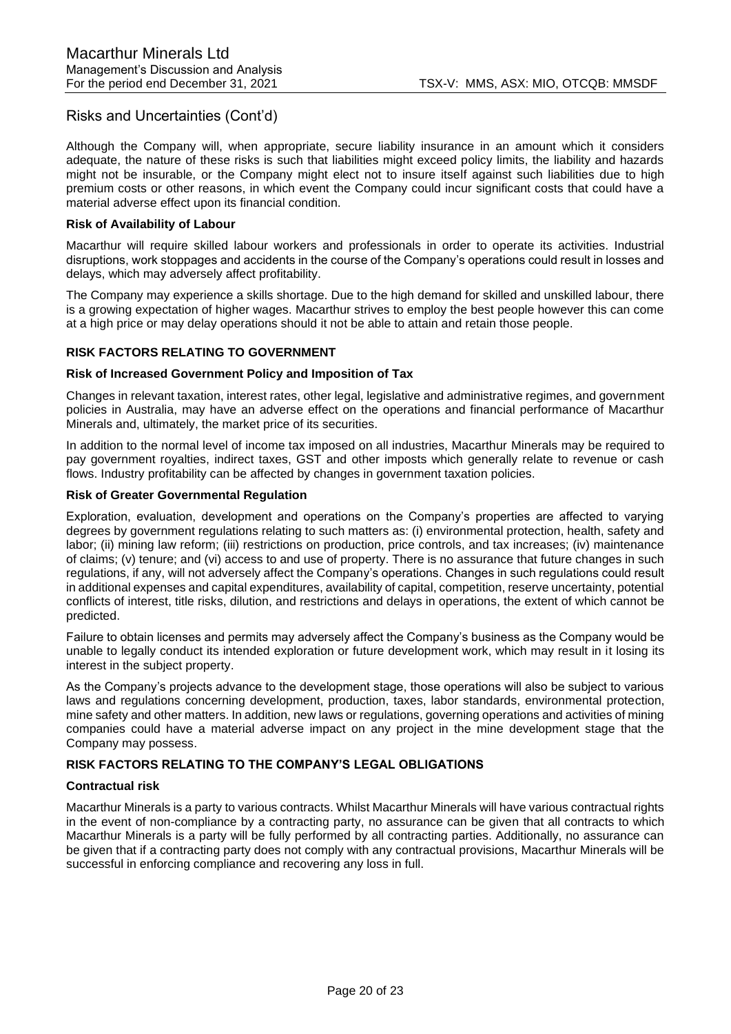Although the Company will, when appropriate, secure liability insurance in an amount which it considers adequate, the nature of these risks is such that liabilities might exceed policy limits, the liability and hazards might not be insurable, or the Company might elect not to insure itself against such liabilities due to high premium costs or other reasons, in which event the Company could incur significant costs that could have a material adverse effect upon its financial condition.

#### **Risk of Availability of Labour**

Macarthur will require skilled labour workers and professionals in order to operate its activities. Industrial disruptions, work stoppages and accidents in the course of the Company's operations could result in losses and delays, which may adversely affect profitability.

The Company may experience a skills shortage. Due to the high demand for skilled and unskilled labour, there is a growing expectation of higher wages. Macarthur strives to employ the best people however this can come at a high price or may delay operations should it not be able to attain and retain those people.

## **RISK FACTORS RELATING TO GOVERNMENT**

#### **Risk of Increased Government Policy and Imposition of Tax**

Changes in relevant taxation, interest rates, other legal, legislative and administrative regimes, and government policies in Australia, may have an adverse effect on the operations and financial performance of Macarthur Minerals and, ultimately, the market price of its securities.

In addition to the normal level of income tax imposed on all industries, Macarthur Minerals may be required to pay government royalties, indirect taxes, GST and other imposts which generally relate to revenue or cash flows. Industry profitability can be affected by changes in government taxation policies.

#### **Risk of Greater Governmental Regulation**

Exploration, evaluation, development and operations on the Company's properties are affected to varying degrees by government regulations relating to such matters as: (i) environmental protection, health, safety and labor; (ii) mining law reform; (iii) restrictions on production, price controls, and tax increases; (iv) maintenance of claims; (v) tenure; and (vi) access to and use of property. There is no assurance that future changes in such regulations, if any, will not adversely affect the Company's operations. Changes in such regulations could result in additional expenses and capital expenditures, availability of capital, competition, reserve uncertainty, potential conflicts of interest, title risks, dilution, and restrictions and delays in operations, the extent of which cannot be predicted.

Failure to obtain licenses and permits may adversely affect the Company's business as the Company would be unable to legally conduct its intended exploration or future development work, which may result in it losing its interest in the subject property.

As the Company's projects advance to the development stage, those operations will also be subject to various laws and regulations concerning development, production, taxes, labor standards, environmental protection, mine safety and other matters. In addition, new laws or regulations, governing operations and activities of mining companies could have a material adverse impact on any project in the mine development stage that the Company may possess.

## **RISK FACTORS RELATING TO THE COMPANY'S LEGAL OBLIGATIONS**

## **Contractual risk**

Macarthur Minerals is a party to various contracts. Whilst Macarthur Minerals will have various contractual rights in the event of non-compliance by a contracting party, no assurance can be given that all contracts to which Macarthur Minerals is a party will be fully performed by all contracting parties. Additionally, no assurance can be given that if a contracting party does not comply with any contractual provisions, Macarthur Minerals will be successful in enforcing compliance and recovering any loss in full.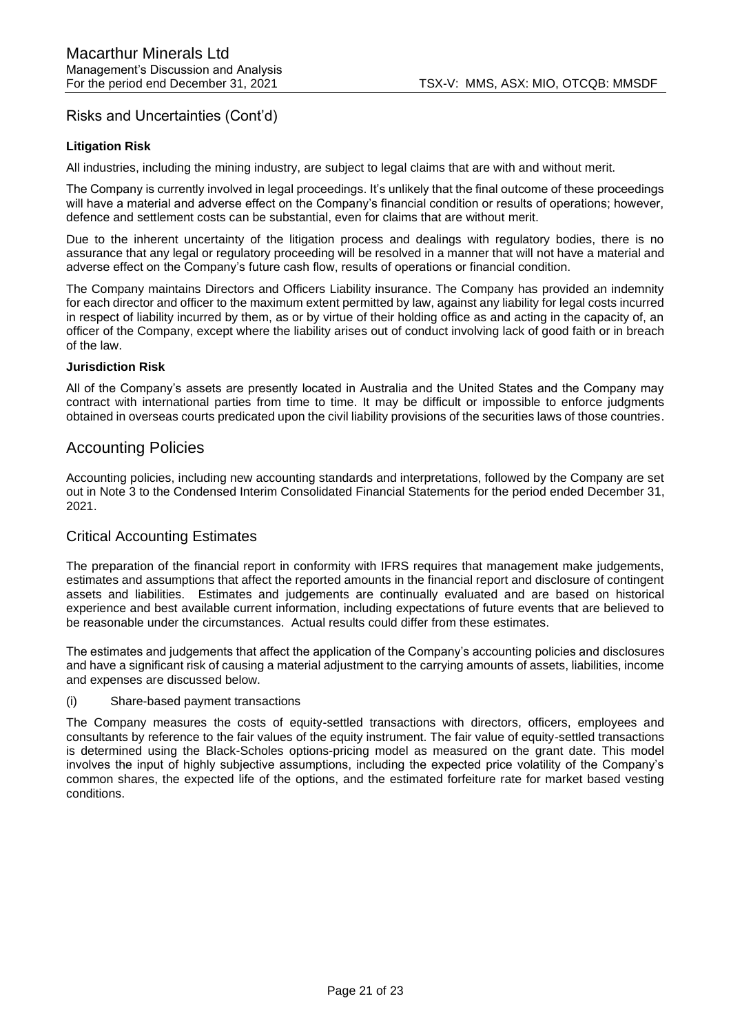## **Litigation Risk**

All industries, including the mining industry, are subject to legal claims that are with and without merit.

The Company is currently involved in legal proceedings. It's unlikely that the final outcome of these proceedings will have a material and adverse effect on the Company's financial condition or results of operations; however, defence and settlement costs can be substantial, even for claims that are without merit.

Due to the inherent uncertainty of the litigation process and dealings with regulatory bodies, there is no assurance that any legal or regulatory proceeding will be resolved in a manner that will not have a material and adverse effect on the Company's future cash flow, results of operations or financial condition.

The Company maintains Directors and Officers Liability insurance. The Company has provided an indemnity for each director and officer to the maximum extent permitted by law, against any liability for legal costs incurred in respect of liability incurred by them, as or by virtue of their holding office as and acting in the capacity of, an officer of the Company, except where the liability arises out of conduct involving lack of good faith or in breach of the law.

#### **Jurisdiction Risk**

All of the Company's assets are presently located in Australia and the United States and the Company may contract with international parties from time to time. It may be difficult or impossible to enforce judgments obtained in overseas courts predicated upon the civil liability provisions of the securities laws of those countries.

## Accounting Policies

Accounting policies, including new accounting standards and interpretations, followed by the Company are set out in Note 3 to the Condensed Interim Consolidated Financial Statements for the period ended December 31, 2021.

## Critical Accounting Estimates

The preparation of the financial report in conformity with IFRS requires that management make judgements, estimates and assumptions that affect the reported amounts in the financial report and disclosure of contingent assets and liabilities. Estimates and judgements are continually evaluated and are based on historical experience and best available current information, including expectations of future events that are believed to be reasonable under the circumstances. Actual results could differ from these estimates.

The estimates and judgements that affect the application of the Company's accounting policies and disclosures and have a significant risk of causing a material adjustment to the carrying amounts of assets, liabilities, income and expenses are discussed below.

#### (i) Share-based payment transactions

The Company measures the costs of equity-settled transactions with directors, officers, employees and consultants by reference to the fair values of the equity instrument. The fair value of equity-settled transactions is determined using the Black-Scholes options-pricing model as measured on the grant date. This model involves the input of highly subjective assumptions, including the expected price volatility of the Company's common shares, the expected life of the options, and the estimated forfeiture rate for market based vesting conditions.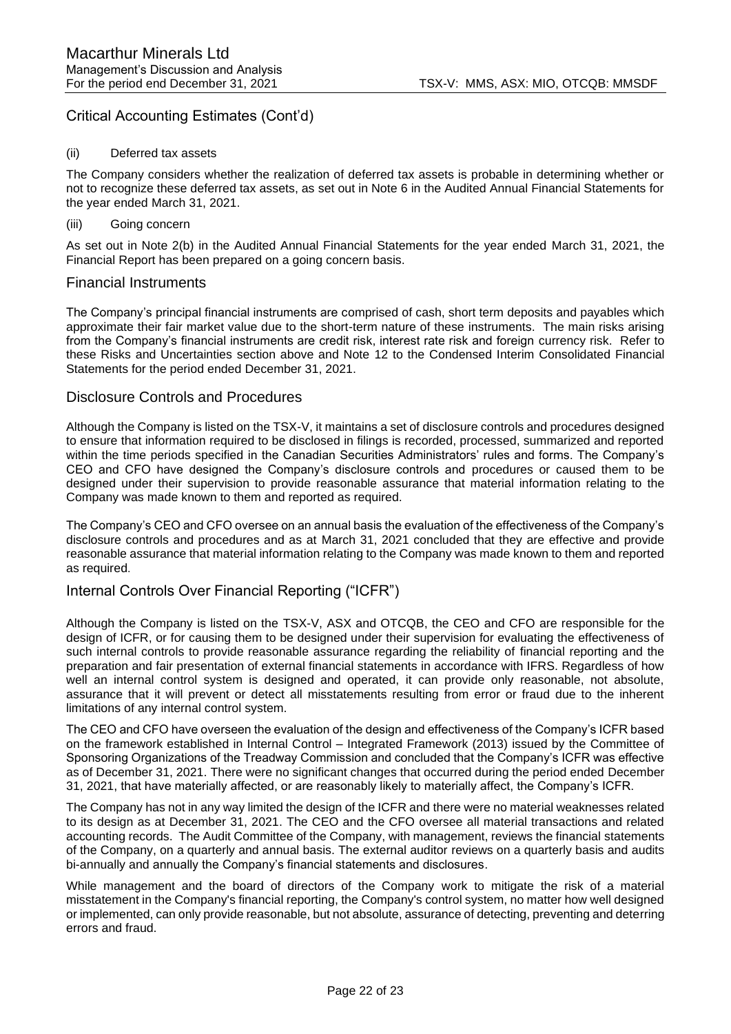## Critical Accounting Estimates (Cont'd)

#### (ii) Deferred tax assets

The Company considers whether the realization of deferred tax assets is probable in determining whether or not to recognize these deferred tax assets, as set out in Note 6 in the Audited Annual Financial Statements for the year ended March 31, 2021.

### (iii) Going concern

As set out in Note 2(b) in the Audited Annual Financial Statements for the year ended March 31, 2021, the Financial Report has been prepared on a going concern basis.

## Financial Instruments

The Company's principal financial instruments are comprised of cash, short term deposits and payables which approximate their fair market value due to the short-term nature of these instruments. The main risks arising from the Company's financial instruments are credit risk, interest rate risk and foreign currency risk. Refer to these Risks and Uncertainties section above and Note 12 to the Condensed Interim Consolidated Financial Statements for the period ended December 31, 2021.

## Disclosure Controls and Procedures

Although the Company is listed on the TSX-V, it maintains a set of disclosure controls and procedures designed to ensure that information required to be disclosed in filings is recorded, processed, summarized and reported within the time periods specified in the Canadian Securities Administrators' rules and forms. The Company's CEO and CFO have designed the Company's disclosure controls and procedures or caused them to be designed under their supervision to provide reasonable assurance that material information relating to the Company was made known to them and reported as required.

The Company's CEO and CFO oversee on an annual basis the evaluation of the effectiveness of the Company's disclosure controls and procedures and as at March 31, 2021 concluded that they are effective and provide reasonable assurance that material information relating to the Company was made known to them and reported as required.

## Internal Controls Over Financial Reporting ("ICFR")

Although the Company is listed on the TSX-V, ASX and OTCQB, the CEO and CFO are responsible for the design of ICFR, or for causing them to be designed under their supervision for evaluating the effectiveness of such internal controls to provide reasonable assurance regarding the reliability of financial reporting and the preparation and fair presentation of external financial statements in accordance with IFRS. Regardless of how well an internal control system is designed and operated, it can provide only reasonable, not absolute, assurance that it will prevent or detect all misstatements resulting from error or fraud due to the inherent limitations of any internal control system.

The CEO and CFO have overseen the evaluation of the design and effectiveness of the Company's ICFR based on the framework established in Internal Control – Integrated Framework (2013) issued by the Committee of Sponsoring Organizations of the Treadway Commission and concluded that the Company's ICFR was effective as of December 31, 2021. There were no significant changes that occurred during the period ended December 31, 2021, that have materially affected, or are reasonably likely to materially affect, the Company's ICFR.

The Company has not in any way limited the design of the ICFR and there were no material weaknesses related to its design as at December 31, 2021. The CEO and the CFO oversee all material transactions and related accounting records. The Audit Committee of the Company, with management, reviews the financial statements of the Company, on a quarterly and annual basis. The external auditor reviews on a quarterly basis and audits bi-annually and annually the Company's financial statements and disclosures.

While management and the board of directors of the Company work to mitigate the risk of a material misstatement in the Company's financial reporting, the Company's control system, no matter how well designed or implemented, can only provide reasonable, but not absolute, assurance of detecting, preventing and deterring errors and fraud.